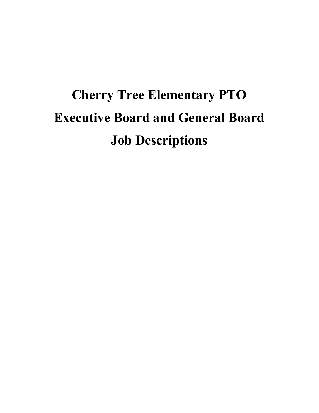# **Cherry Tree Elementary PTO Executive Board and General Board Job Descriptions**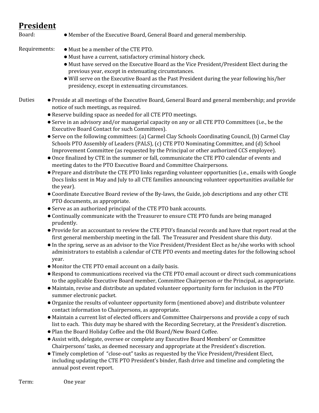#### **President**

- Board: • Member of the Executive Board, General Board and general membership.
- Requirements: Must be a member of the CTE PTO.
	- Must have a current, satisfactory criminal history check.
	- Must have served on the Executive Board as the Vice President/President Elect during the previous year, except in extenuating circumstances.
	- Will serve on the Executive Board as the Past President during the year following his/her presidency, except in extenuating circumstances.
- Duties ●Preside at all meetings of the Executive Board, General Board and general membership; and provide notice of such meetings, as required.
	- Reserve building space as needed for all CTE PTO meetings.
	- ●Serve in an advisory and/or managerial capacity on any or all CTE PTO Committees (i.e., be the Executive Board Contact for such Committees).
	- ●Serve on the following committees: (a) Carmel Clay Schools Coordinating Council, (b) Carmel Clay Schools PTO Assembly of Leaders (PALS), (c) CTE PTO Nominating Committee, and (d) School Improvement Committee (as requested by the Principal or other authorized CCS employee).
	- ●Once finalized by CTE in the summer or fall, communicate the CTE PTO calendar of events and meeting dates to the PTO Executive Board and Committee Chairpersons.
	- ●Prepare and distribute the CTE PTO links regarding volunteer opportunities (i.e., emails with Google Docs links sent in May and July to all CTE families announcing volunteer opportunities available for the year).
	- ●Coordinate Executive Board review of the By-laws, the Guide, job descriptions and any other CTE PTO documents, as appropriate.
	- ●Serve as an authorized principal of the CTE PTO bank accounts.
	- ●Continually communicate with the Treasurer to ensure CTE PTO funds are being managed prudently.
	- ●Provide for an accountant to review the CTE PTO's financial records and have that report read at the first general membership meeting in the fall. The Treasurer and President share this duty.
	- ●In the spring, serve as an advisor to the Vice President/President Elect as he/she works with school administrators to establish a calendar of CTE PTO events and meeting dates for the following school year.
	- Monitor the CTE PTO email account on a daily basis.
	- Respond to communications received via the CTE PTO email account or direct such communications to the applicable Executive Board member, Committee Chairperson or the Principal, as appropriate.
	- Maintain, revise and distribute an updated volunteer opportunity form for inclusion in the PTO summer electronic packet.
	- ●Organize the results of volunteer opportunity form (mentioned above) and distribute volunteer contact information to Chairpersons, as appropriate.
	- Maintain a current list of elected officers and Committee Chairpersons and provide a copy of such list to each. This duty may be shared with the Recording Secretary, at the President's discretion.
	- ●Plan the Board Holiday Coffee and the Old Board/New Board Coffee.
	- Assist with, delegate, oversee or complete any Executive Board Members' or Committee Chairpersons' tasks, as deemed necessary and appropriate at the President's discretion.
	- ●Timely completion of "close-out" tasks as requested by the Vice President/President Elect, including updating the CTE PTO President's binder, flash drive and timeline and completing the annual post event report.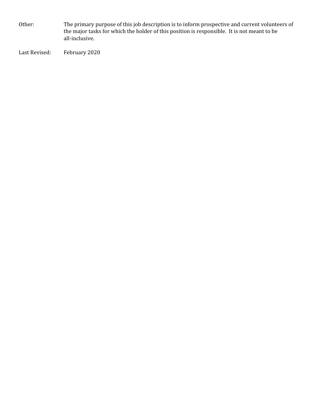Other: The primary purpose of this job description is to inform prospective and current volunteers of the major tasks for which the holder of this position is responsible. It is not meant to be all-inclusive.

Last Revised: February 2020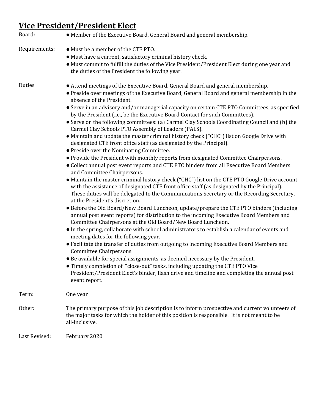## **Vice President/President Elect**

| Board:        | • Member of the Executive Board, General Board and general membership.                                                                                                                                                                                                                                                                                                                                                                                                                                                                                                                                                                                                                                                                                                                                                                                                                                                                                                                                                                                                                                                                                                                                                                                                                                                                                                                                                                                                                                                                                                                                                                                                                                                                                                                                                                                                                                                                                                                                                                                                                                                           |
|---------------|----------------------------------------------------------------------------------------------------------------------------------------------------------------------------------------------------------------------------------------------------------------------------------------------------------------------------------------------------------------------------------------------------------------------------------------------------------------------------------------------------------------------------------------------------------------------------------------------------------------------------------------------------------------------------------------------------------------------------------------------------------------------------------------------------------------------------------------------------------------------------------------------------------------------------------------------------------------------------------------------------------------------------------------------------------------------------------------------------------------------------------------------------------------------------------------------------------------------------------------------------------------------------------------------------------------------------------------------------------------------------------------------------------------------------------------------------------------------------------------------------------------------------------------------------------------------------------------------------------------------------------------------------------------------------------------------------------------------------------------------------------------------------------------------------------------------------------------------------------------------------------------------------------------------------------------------------------------------------------------------------------------------------------------------------------------------------------------------------------------------------------|
| Requirements: | • Must be a member of the CTE PTO.<br>• Must have a current, satisfactory criminal history check.<br>• Must commit to fulfill the duties of the Vice President/President Elect during one year and<br>the duties of the President the following year.                                                                                                                                                                                                                                                                                                                                                                                                                                                                                                                                                                                                                                                                                                                                                                                                                                                                                                                                                                                                                                                                                                                                                                                                                                                                                                                                                                                                                                                                                                                                                                                                                                                                                                                                                                                                                                                                            |
| Duties        | • Attend meetings of the Executive Board, General Board and general membership.<br>• Preside over meetings of the Executive Board, General Board and general membership in the<br>absence of the President.<br>• Serve in an advisory and/or managerial capacity on certain CTE PTO Committees, as specified<br>by the President (i.e., be the Executive Board Contact for such Committees).<br>• Serve on the following committees: (a) Carmel Clay Schools Coordinating Council and (b) the<br>Carmel Clay Schools PTO Assembly of Leaders (PALS).<br>• Maintain and update the master criminal history check ("CHC") list on Google Drive with<br>designated CTE front office staff (as designated by the Principal).<br>• Preside over the Nominating Committee.<br>• Provide the President with monthly reports from designated Committee Chairpersons.<br>• Collect annual post event reports and CTE PTO binders from all Executive Board Members<br>and Committee Chairpersons.<br>• Maintain the master criminal history check ("CHC") list on the CTE PTO Google Drive account<br>with the assistance of designated CTE front office staff (as designated by the Principal).<br>These duties will be delegated to the Communications Secretary or the Recording Secretary,<br>at the President's discretion.<br>• Before the Old Board/New Board Luncheon, update/prepare the CTE PTO binders (including<br>annual post event reports) for distribution to the incoming Executive Board Members and<br>Committee Chairpersons at the Old Board/New Board Luncheon.<br>• In the spring, collaborate with school administrators to establish a calendar of events and<br>meeting dates for the following year.<br>• Facilitate the transfer of duties from outgoing to incoming Executive Board Members and<br>Committee Chairpersons.<br>• Be available for special assignments, as deemed necessary by the President.<br>• Timely completion of "close-out" tasks, including updating the CTE PTO Vice<br>President/President Elect's binder, flash drive and timeline and completing the annual post<br>event report. |
| Term:         | One year                                                                                                                                                                                                                                                                                                                                                                                                                                                                                                                                                                                                                                                                                                                                                                                                                                                                                                                                                                                                                                                                                                                                                                                                                                                                                                                                                                                                                                                                                                                                                                                                                                                                                                                                                                                                                                                                                                                                                                                                                                                                                                                         |
| Other:        | The primary purpose of this job description is to inform prospective and current volunteers of<br>the major tasks for which the holder of this position is responsible. It is not meant to be<br>all-inclusive.                                                                                                                                                                                                                                                                                                                                                                                                                                                                                                                                                                                                                                                                                                                                                                                                                                                                                                                                                                                                                                                                                                                                                                                                                                                                                                                                                                                                                                                                                                                                                                                                                                                                                                                                                                                                                                                                                                                  |
| Last Revised: | February 2020                                                                                                                                                                                                                                                                                                                                                                                                                                                                                                                                                                                                                                                                                                                                                                                                                                                                                                                                                                                                                                                                                                                                                                                                                                                                                                                                                                                                                                                                                                                                                                                                                                                                                                                                                                                                                                                                                                                                                                                                                                                                                                                    |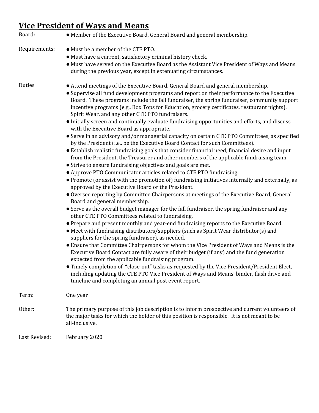## **Vice President of Ways and Means**

| Board:        | • Member of the Executive Board, General Board and general membership.                                                                                                                                                                                                                                                                                                                                                                                                                                                                                                                                                                                                                                                                                                                                                                                                                                                                                                                                                                                                                                                                                                                                                                                                                                                                                                                                                                                                                                                                                                                                                                                                                                                                                                                                                                                                                                                                                                                                                                                                                                                                                                                                                                                                                    |
|---------------|-------------------------------------------------------------------------------------------------------------------------------------------------------------------------------------------------------------------------------------------------------------------------------------------------------------------------------------------------------------------------------------------------------------------------------------------------------------------------------------------------------------------------------------------------------------------------------------------------------------------------------------------------------------------------------------------------------------------------------------------------------------------------------------------------------------------------------------------------------------------------------------------------------------------------------------------------------------------------------------------------------------------------------------------------------------------------------------------------------------------------------------------------------------------------------------------------------------------------------------------------------------------------------------------------------------------------------------------------------------------------------------------------------------------------------------------------------------------------------------------------------------------------------------------------------------------------------------------------------------------------------------------------------------------------------------------------------------------------------------------------------------------------------------------------------------------------------------------------------------------------------------------------------------------------------------------------------------------------------------------------------------------------------------------------------------------------------------------------------------------------------------------------------------------------------------------------------------------------------------------------------------------------------------------|
| Requirements: | • Must be a member of the CTE PTO.<br>• Must have a current, satisfactory criminal history check.<br>• Must have served on the Executive Board as the Assistant Vice President of Ways and Means<br>during the previous year, except in extenuating circumstances.                                                                                                                                                                                                                                                                                                                                                                                                                                                                                                                                                                                                                                                                                                                                                                                                                                                                                                                                                                                                                                                                                                                                                                                                                                                                                                                                                                                                                                                                                                                                                                                                                                                                                                                                                                                                                                                                                                                                                                                                                        |
| Duties        | • Attend meetings of the Executive Board, General Board and general membership.<br>• Supervise all fund development programs and report on their performance to the Executive<br>Board. These programs include the fall fundraiser, the spring fundraiser, community support<br>incentive programs (e.g., Box Tops for Education, grocery certificates, restaurant nights),<br>Spirit Wear, and any other CTE PTO fundraisers.<br>• Initially screen and continually evaluate fundraising opportunities and efforts, and discuss<br>with the Executive Board as appropriate.<br>• Serve in an advisory and/or managerial capacity on certain CTE PTO Committees, as specified<br>by the President (i.e., be the Executive Board Contact for such Committees).<br>• Establish realistic fundraising goals that consider financial need, financial desire and input<br>from the President, the Treasurer and other members of the applicable fundraising team.<br>• Strive to ensure fundraising objectives and goals are met.<br>• Approve PTO Communicator articles related to CTE PTO fundraising.<br>• Promote (or assist with the promotion of) fundraising initiatives internally and externally, as<br>approved by the Executive Board or the President.<br>• Oversee reporting by Committee Chairpersons at meetings of the Executive Board, General<br>Board and general membership.<br>• Serve as the overall budget manager for the fall fundraiser, the spring fundraiser and any<br>other CTE PTO Committees related to fundraising.<br>• Prepare and present monthly and year-end fundraising reports to the Executive Board.<br>• Meet with fundraising distributors/suppliers (such as Spirit Wear distributor(s) and<br>suppliers for the spring fundraiser), as needed.<br>• Ensure that Committee Chairpersons for whom the Vice President of Ways and Means is the<br>Executive Board Contact are fully aware of their budget (if any) and the fund generation<br>expected from the applicable fundraising program.<br>• Timely completion of "close-out" tasks as requested by the Vice President/President Elect,<br>including updating the CTE PTO Vice President of Ways and Means' binder, flash drive and<br>timeline and completing an annual post event report. |
| Term:         | One year                                                                                                                                                                                                                                                                                                                                                                                                                                                                                                                                                                                                                                                                                                                                                                                                                                                                                                                                                                                                                                                                                                                                                                                                                                                                                                                                                                                                                                                                                                                                                                                                                                                                                                                                                                                                                                                                                                                                                                                                                                                                                                                                                                                                                                                                                  |
| Other:        | The primary purpose of this job description is to inform prospective and current volunteers of<br>the major tasks for which the holder of this position is responsible. It is not meant to be<br>all-inclusive.                                                                                                                                                                                                                                                                                                                                                                                                                                                                                                                                                                                                                                                                                                                                                                                                                                                                                                                                                                                                                                                                                                                                                                                                                                                                                                                                                                                                                                                                                                                                                                                                                                                                                                                                                                                                                                                                                                                                                                                                                                                                           |
| Last Revised: | February 2020                                                                                                                                                                                                                                                                                                                                                                                                                                                                                                                                                                                                                                                                                                                                                                                                                                                                                                                                                                                                                                                                                                                                                                                                                                                                                                                                                                                                                                                                                                                                                                                                                                                                                                                                                                                                                                                                                                                                                                                                                                                                                                                                                                                                                                                                             |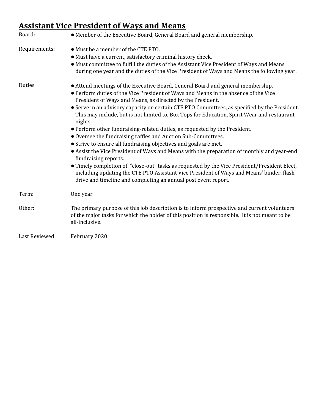### **Assistant Vice President of Ways and Means**

| Board:         | • Member of the Executive Board, General Board and general membership.                                                                                                                                                                                                                                                                                                                                                                                                                                                                                                                                                                                                                                                                                                                                                                                                                                                                                                                                                                                 |
|----------------|--------------------------------------------------------------------------------------------------------------------------------------------------------------------------------------------------------------------------------------------------------------------------------------------------------------------------------------------------------------------------------------------------------------------------------------------------------------------------------------------------------------------------------------------------------------------------------------------------------------------------------------------------------------------------------------------------------------------------------------------------------------------------------------------------------------------------------------------------------------------------------------------------------------------------------------------------------------------------------------------------------------------------------------------------------|
| Requirements:  | • Must be a member of the CTE PTO.<br>• Must have a current, satisfactory criminal history check.<br>• Must committee to fulfill the duties of the Assistant Vice President of Ways and Means<br>during one year and the duties of the Vice President of Ways and Means the following year.                                                                                                                                                                                                                                                                                                                                                                                                                                                                                                                                                                                                                                                                                                                                                            |
| Duties         | • Attend meetings of the Executive Board, General Board and general membership.<br>• Perform duties of the Vice President of Ways and Means in the absence of the Vice<br>President of Ways and Means, as directed by the President.<br>• Serve in an advisory capacity on certain CTE PTO Committees, as specified by the President.<br>This may include, but is not limited to, Box Tops for Education, Spirit Wear and restaurant<br>nights.<br>• Perform other fundraising-related duties, as requested by the President.<br>• Oversee the fundraising raffles and Auction Sub-Committees.<br>• Strive to ensure all fundraising objectives and goals are met.<br>• Assist the Vice President of Ways and Means with the preparation of monthly and year-end<br>fundraising reports.<br>• Timely completion of "close-out" tasks as requested by the Vice President/President Elect,<br>including updating the CTE PTO Assistant Vice President of Ways and Means' binder, flash<br>drive and timeline and completing an annual post event report. |
| Term:          | One year                                                                                                                                                                                                                                                                                                                                                                                                                                                                                                                                                                                                                                                                                                                                                                                                                                                                                                                                                                                                                                               |
| Other:         | The primary purpose of this job description is to inform prospective and current volunteers<br>of the major tasks for which the holder of this position is responsible. It is not meant to be<br>all-inclusive.                                                                                                                                                                                                                                                                                                                                                                                                                                                                                                                                                                                                                                                                                                                                                                                                                                        |
| Last Reviewed: | February 2020                                                                                                                                                                                                                                                                                                                                                                                                                                                                                                                                                                                                                                                                                                                                                                                                                                                                                                                                                                                                                                          |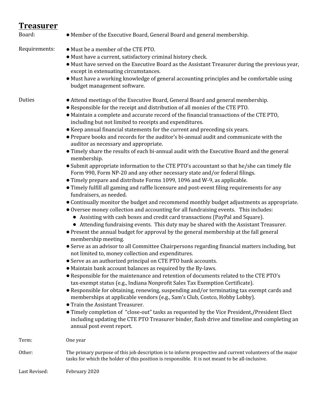#### **Treasurer**

| Board:        | • Member of the Executive Board, General Board and general membership.                                                                                                                                                                                                                                                                                                                                                                                                                                                                                                                                                                                                                                                                                                                                                                                                                                                                                                                                                                                                                                                                                                                                                                                                                                                                                                                                                                                                                                                                                                                                                                                                                                                                                                                                                                                                                                                                                                                                                                                                                                                                                                                                                                                                                                                                                                                                                               |
|---------------|--------------------------------------------------------------------------------------------------------------------------------------------------------------------------------------------------------------------------------------------------------------------------------------------------------------------------------------------------------------------------------------------------------------------------------------------------------------------------------------------------------------------------------------------------------------------------------------------------------------------------------------------------------------------------------------------------------------------------------------------------------------------------------------------------------------------------------------------------------------------------------------------------------------------------------------------------------------------------------------------------------------------------------------------------------------------------------------------------------------------------------------------------------------------------------------------------------------------------------------------------------------------------------------------------------------------------------------------------------------------------------------------------------------------------------------------------------------------------------------------------------------------------------------------------------------------------------------------------------------------------------------------------------------------------------------------------------------------------------------------------------------------------------------------------------------------------------------------------------------------------------------------------------------------------------------------------------------------------------------------------------------------------------------------------------------------------------------------------------------------------------------------------------------------------------------------------------------------------------------------------------------------------------------------------------------------------------------------------------------------------------------------------------------------------------------|
| Requirements: | • Must be a member of the CTE PTO.<br>• Must have a current, satisfactory criminal history check.<br>· Must have served on the Executive Board as the Assistant Treasurer during the previous year,<br>except in extenuating circumstances.<br>• Must have a working knowledge of general accounting principles and be comfortable using<br>budget management software.                                                                                                                                                                                                                                                                                                                                                                                                                                                                                                                                                                                                                                                                                                                                                                                                                                                                                                                                                                                                                                                                                                                                                                                                                                                                                                                                                                                                                                                                                                                                                                                                                                                                                                                                                                                                                                                                                                                                                                                                                                                              |
| Duties        | • Attend meetings of the Executive Board, General Board and general membership.<br>• Responsible for the receipt and distribution of all monies of the CTE PTO.<br>• Maintain a complete and accurate record of the financial transactions of the CTE PTO,<br>including but not limited to receipts and expenditures.<br>• Keep annual financial statements for the current and preceding six years.<br>• Prepare books and records for the auditor's bi-annual audit and communicate with the<br>auditor as necessary and appropriate.<br>• Timely share the results of each bi-annual audit with the Executive Board and the general<br>membership.<br>• Submit appropriate information to the CTE PTO's accountant so that he/she can timely file<br>Form 990, Form NP-20 and any other necessary state and/or federal filings.<br>• Timely prepare and distribute Forms 1099, 1096 and W-9, as applicable.<br>• Timely fulfill all gaming and raffle licensure and post-event filing requirements for any<br>fundraisers, as needed.<br>• Continually monitor the budget and recommend monthly budget adjustments as appropriate.<br>• Oversee money collection and accounting for all fundraising events. This includes:<br>• Assisting with cash boxes and credit card transactions (PayPal and Square).<br>• Attending fundraising events. This duty may be shared with the Assistant Treasurer.<br>• Present the annual budget for approval by the general membership at the fall general<br>membership meeting.<br>• Serve as an advisor to all Committee Chairpersons regarding financial matters including, but<br>not limited to, money collection and expenditures.<br>• Serve as an authorized principal on CTE PTO bank accounts.<br>• Maintain bank account balances as required by the By-laws.<br>• Responsible for the maintenance and retention of documents related to the CTE PTO's<br>tax-exempt status (e.g., Indiana Nonprofit Sales Tax Exemption Certificate).<br>• Responsible for obtaining, renewing, suspending and/or terminating tax exempt cards and<br>memberships at applicable vendors (e.g., Sam's Club, Costco, Hobby Lobby).<br>• Train the Assistant Treasurer.<br>• Timely completion of "close-out" tasks as requested by the Vice President,/President Elect<br>including updating the CTE PTO Treasurer binder, flash drive and timeline and completing an<br>annual post event report. |
| Term:         | One year                                                                                                                                                                                                                                                                                                                                                                                                                                                                                                                                                                                                                                                                                                                                                                                                                                                                                                                                                                                                                                                                                                                                                                                                                                                                                                                                                                                                                                                                                                                                                                                                                                                                                                                                                                                                                                                                                                                                                                                                                                                                                                                                                                                                                                                                                                                                                                                                                             |
| Other:        | The primary purpose of this job description is to inform prospective and current volunteers of the major<br>tasks for which the holder of this position is responsible. It is not meant to be all-inclusive.                                                                                                                                                                                                                                                                                                                                                                                                                                                                                                                                                                                                                                                                                                                                                                                                                                                                                                                                                                                                                                                                                                                                                                                                                                                                                                                                                                                                                                                                                                                                                                                                                                                                                                                                                                                                                                                                                                                                                                                                                                                                                                                                                                                                                         |
| Last Revised: | February 2020                                                                                                                                                                                                                                                                                                                                                                                                                                                                                                                                                                                                                                                                                                                                                                                                                                                                                                                                                                                                                                                                                                                                                                                                                                                                                                                                                                                                                                                                                                                                                                                                                                                                                                                                                                                                                                                                                                                                                                                                                                                                                                                                                                                                                                                                                                                                                                                                                        |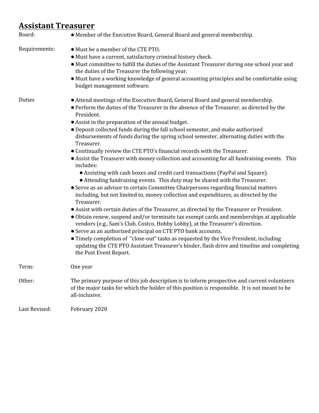#### **Assistant Treasurer**

| Board:        | • Member of the Executive Board, General Board and general membership.                                                                                                                                                                                                                                                                                                                                                                                                                                                                                                                                                                                                                                                                                                                                                                                                                                                                                                                                                                                                                                                                                                                                                                                                                                                                                                                                                                                                                                                                                     |
|---------------|------------------------------------------------------------------------------------------------------------------------------------------------------------------------------------------------------------------------------------------------------------------------------------------------------------------------------------------------------------------------------------------------------------------------------------------------------------------------------------------------------------------------------------------------------------------------------------------------------------------------------------------------------------------------------------------------------------------------------------------------------------------------------------------------------------------------------------------------------------------------------------------------------------------------------------------------------------------------------------------------------------------------------------------------------------------------------------------------------------------------------------------------------------------------------------------------------------------------------------------------------------------------------------------------------------------------------------------------------------------------------------------------------------------------------------------------------------------------------------------------------------------------------------------------------------|
| Requirements: | • Must be a member of the CTE PTO.<br>· Must have a current, satisfactory criminal history check.<br>• Must committee to fulfill the duties of the Assistant Treasurer during one school year and<br>the duties of the Treasurer the following year.<br>• Must have a working knowledge of general accounting principles and be comfortable using<br>budget management software.                                                                                                                                                                                                                                                                                                                                                                                                                                                                                                                                                                                                                                                                                                                                                                                                                                                                                                                                                                                                                                                                                                                                                                           |
| Duties        | • Attend meetings of the Executive Board, General Board and general membership.<br>• Perform the duties of the Treasurer in the absence of the Treasurer, as directed by the<br>President.<br>• Assist in the preparation of the annual budget.<br>• Deposit collected funds during the fall school semester, and make authorized<br>disbursements of funds during the spring school semester, alternating duties with the<br>Treasurer.<br>• Continually review the CTE PTO's financial records with the Treasurer.<br>• Assist the Treasurer with money collection and accounting for all fundraising events. This<br>includes:<br>• Assisting with cash boxes and credit card transactions (PayPal and Square).<br>• Attending fundraising events. This duty may be shared with the Treasurer.<br>• Serve as an advisor to certain Committee Chairpersons regarding financial matters<br>including, but not limited to, money collection and expenditures, as directed by the<br>Treasurer.<br>• Assist with certain duties of the Treasurer, as directed by the Treasurer or President.<br>• Obtain renew, suspend and/or terminate tax exempt cards and memberships at applicable<br>vendors (e.g., Sam's Club, Costco, Hobby Lobby), at the Treasurer's direction.<br>• Serve as an authorized principal on CTE PTO bank accounts.<br>• Timely completion of "close-out" tasks as requested by the Vice President, including<br>updating the CTE PTO Assistant Treasurer's binder, flash drive and timeline and completing<br>the Post Event Report. |
| Term:         | One year                                                                                                                                                                                                                                                                                                                                                                                                                                                                                                                                                                                                                                                                                                                                                                                                                                                                                                                                                                                                                                                                                                                                                                                                                                                                                                                                                                                                                                                                                                                                                   |
| Other:        | The primary purpose of this job description is to inform prospective and current volunteers<br>of the major tasks for which the holder of this position is responsible. It is not meant to be<br>all-inclusive.                                                                                                                                                                                                                                                                                                                                                                                                                                                                                                                                                                                                                                                                                                                                                                                                                                                                                                                                                                                                                                                                                                                                                                                                                                                                                                                                            |
| Last Revised: | February 2020                                                                                                                                                                                                                                                                                                                                                                                                                                                                                                                                                                                                                                                                                                                                                                                                                                                                                                                                                                                                                                                                                                                                                                                                                                                                                                                                                                                                                                                                                                                                              |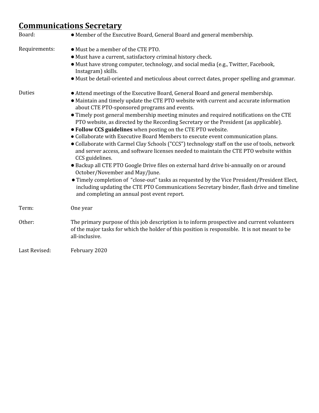## **Communications Secretary**

| Board:        | • Member of the Executive Board, General Board and general membership.                                                                                                                                                                                                                                                                                                                                                                                                                                                                                                                                                                                                                                                                                                                                                                                                                                                                                                                                                                                                                                                                                |
|---------------|-------------------------------------------------------------------------------------------------------------------------------------------------------------------------------------------------------------------------------------------------------------------------------------------------------------------------------------------------------------------------------------------------------------------------------------------------------------------------------------------------------------------------------------------------------------------------------------------------------------------------------------------------------------------------------------------------------------------------------------------------------------------------------------------------------------------------------------------------------------------------------------------------------------------------------------------------------------------------------------------------------------------------------------------------------------------------------------------------------------------------------------------------------|
| Requirements: | • Must be a member of the CTE PTO.<br>• Must have a current, satisfactory criminal history check.<br>· Must have strong computer, technology, and social media (e.g., Twitter, Facebook,<br>Instagram) skills.<br>• Must be detail-oriented and meticulous about correct dates, proper spelling and grammar.                                                                                                                                                                                                                                                                                                                                                                                                                                                                                                                                                                                                                                                                                                                                                                                                                                          |
| <b>Duties</b> | • Attend meetings of the Executive Board, General Board and general membership.<br>• Maintain and timely update the CTE PTO website with current and accurate information<br>about CTE PTO-sponsored programs and events.<br>• Timely post general membership meeting minutes and required notifications on the CTE<br>PTO website, as directed by the Recording Secretary or the President (as applicable).<br>• Follow CCS guidelines when posting on the CTE PTO website.<br>• Collaborate with Executive Board Members to execute event communication plans.<br>• Collaborate with Carmel Clay Schools ("CCS") technology staff on the use of tools, network<br>and server access, and software licenses needed to maintain the CTE PTO website within<br>CCS guidelines.<br>• Backup all CTE PTO Google Drive files on external hard drive bi-annually on or around<br>October/November and May/June.<br>· Timely completion of "close-out" tasks as requested by the Vice President/President Elect,<br>including updating the CTE PTO Communications Secretary binder, flash drive and timeline<br>and completing an annual post event report. |
| Term:         | One year                                                                                                                                                                                                                                                                                                                                                                                                                                                                                                                                                                                                                                                                                                                                                                                                                                                                                                                                                                                                                                                                                                                                              |
| Other:        | The primary purpose of this job description is to inform prospective and current volunteers<br>of the major tasks for which the holder of this position is responsible. It is not meant to be<br>all-inclusive.                                                                                                                                                                                                                                                                                                                                                                                                                                                                                                                                                                                                                                                                                                                                                                                                                                                                                                                                       |
| Last Revised: | February 2020                                                                                                                                                                                                                                                                                                                                                                                                                                                                                                                                                                                                                                                                                                                                                                                                                                                                                                                                                                                                                                                                                                                                         |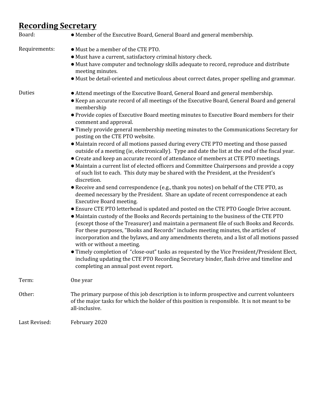## **Recording Secretary**

| Board:        | • Member of the Executive Board, General Board and general membership.                                                                                                                                                                                                                                                                                                                                                                                                                                                                                                                                                                                                                                                                                                                                                                                                                                                                                                                                                                                                                                                                                                                                                                                                                                                                                                                                                                                                                                                                                                                                                                                                                                                                                                                                                                                                                             |
|---------------|----------------------------------------------------------------------------------------------------------------------------------------------------------------------------------------------------------------------------------------------------------------------------------------------------------------------------------------------------------------------------------------------------------------------------------------------------------------------------------------------------------------------------------------------------------------------------------------------------------------------------------------------------------------------------------------------------------------------------------------------------------------------------------------------------------------------------------------------------------------------------------------------------------------------------------------------------------------------------------------------------------------------------------------------------------------------------------------------------------------------------------------------------------------------------------------------------------------------------------------------------------------------------------------------------------------------------------------------------------------------------------------------------------------------------------------------------------------------------------------------------------------------------------------------------------------------------------------------------------------------------------------------------------------------------------------------------------------------------------------------------------------------------------------------------------------------------------------------------------------------------------------------------|
| Requirements: | • Must be a member of the CTE PTO.<br>• Must have a current, satisfactory criminal history check.<br>• Must have computer and technology skills adequate to record, reproduce and distribute<br>meeting minutes.<br>• Must be detail-oriented and meticulous about correct dates, proper spelling and grammar.                                                                                                                                                                                                                                                                                                                                                                                                                                                                                                                                                                                                                                                                                                                                                                                                                                                                                                                                                                                                                                                                                                                                                                                                                                                                                                                                                                                                                                                                                                                                                                                     |
| Duties        | • Attend meetings of the Executive Board, General Board and general membership.<br>• Keep an accurate record of all meetings of the Executive Board, General Board and general<br>membership<br>• Provide copies of Executive Board meeting minutes to Executive Board members for their<br>comment and approval.<br>• Timely provide general membership meeting minutes to the Communications Secretary for<br>posting on the CTE PTO website.<br>• Maintain record of all motions passed during every CTE PTO meeting and those passed<br>outside of a meeting (ie, electronically). Type and date the list at the end of the fiscal year.<br>• Create and keep an accurate record of attendance of members at CTE PTO meetings.<br>• Maintain a current list of elected officers and Committee Chairpersons and provide a copy<br>of such list to each. This duty may be shared with the President, at the President's<br>discretion.<br>• Receive and send correspondence (e.g., thank you notes) on behalf of the CTE PTO, as<br>deemed necessary by the President. Share an update of recent correspondence at each<br><b>Executive Board meeting.</b><br>• Ensure CTE PTO letterhead is updated and posted on the CTE PTO Google Drive account.<br>• Maintain custody of the Books and Records pertaining to the business of the CTE PTO<br>(except those of the Treasurer) and maintain a permanent file of such Books and Records.<br>For these purposes, "Books and Records" includes meeting minutes, the articles of<br>incorporation and the bylaws, and any amendments thereto, and a list of all motions passed<br>with or without a meeting.<br>• Timely completion of "close-out" tasks as requested by the Vice President/President Elect,<br>including updating the CTE PTO Recording Secretary binder, flash drive and timeline and<br>completing an annual post event report. |
| Term:         | One year                                                                                                                                                                                                                                                                                                                                                                                                                                                                                                                                                                                                                                                                                                                                                                                                                                                                                                                                                                                                                                                                                                                                                                                                                                                                                                                                                                                                                                                                                                                                                                                                                                                                                                                                                                                                                                                                                           |
| Other:        | The primary purpose of this job description is to inform prospective and current volunteers<br>of the major tasks for which the holder of this position is responsible. It is not meant to be<br>all-inclusive.                                                                                                                                                                                                                                                                                                                                                                                                                                                                                                                                                                                                                                                                                                                                                                                                                                                                                                                                                                                                                                                                                                                                                                                                                                                                                                                                                                                                                                                                                                                                                                                                                                                                                    |
| Last Revised: | February 2020                                                                                                                                                                                                                                                                                                                                                                                                                                                                                                                                                                                                                                                                                                                                                                                                                                                                                                                                                                                                                                                                                                                                                                                                                                                                                                                                                                                                                                                                                                                                                                                                                                                                                                                                                                                                                                                                                      |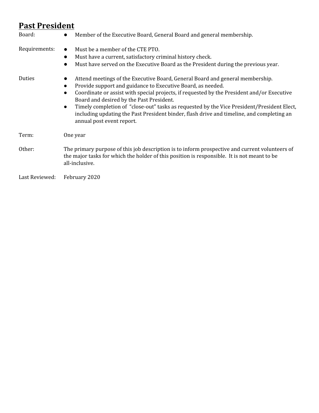#### **Past President**

| Board:         | Member of the Executive Board, General Board and general membership.<br>$\bullet$                                                                                                                                                                                                                                                                                                                                                                                                                                                                     |
|----------------|-------------------------------------------------------------------------------------------------------------------------------------------------------------------------------------------------------------------------------------------------------------------------------------------------------------------------------------------------------------------------------------------------------------------------------------------------------------------------------------------------------------------------------------------------------|
| Requirements:  | Must be a member of the CTE PTO.<br>$\bullet$<br>Must have a current, satisfactory criminal history check.<br>$\bullet$<br>Must have served on the Executive Board as the President during the previous year.                                                                                                                                                                                                                                                                                                                                         |
| Duties         | Attend meetings of the Executive Board, General Board and general membership.<br>Provide support and guidance to Executive Board, as needed.<br>$\bullet$<br>Coordinate or assist with special projects, if requested by the President and/or Executive<br>$\bullet$<br>Board and desired by the Past President.<br>Timely completion of "close-out" tasks as requested by the Vice President/President Elect,<br>$\bullet$<br>including updating the Past President binder, flash drive and timeline, and completing an<br>annual post event report. |
| Term:          | One year                                                                                                                                                                                                                                                                                                                                                                                                                                                                                                                                              |
| Other:         | The primary purpose of this job description is to inform prospective and current volunteers of<br>the major tasks for which the holder of this position is responsible. It is not meant to be<br>all-inclusive.                                                                                                                                                                                                                                                                                                                                       |
| Last Reviewed: | February 2020                                                                                                                                                                                                                                                                                                                                                                                                                                                                                                                                         |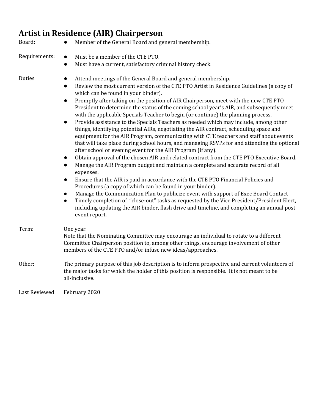# **Artist in Residence (AIR) Chairperson**

| Board:         | Member of the General Board and general membership.<br>$\bullet$                                                                                                                                                                                                                                                                                                                                                                                                                                                                                                                                                                                                                                                                                                                                                                                                                                                                                                                                                                                                                                                                                                                                                                                                                                                                                                                                                                                                                                                                                                                                                                                                                         |
|----------------|------------------------------------------------------------------------------------------------------------------------------------------------------------------------------------------------------------------------------------------------------------------------------------------------------------------------------------------------------------------------------------------------------------------------------------------------------------------------------------------------------------------------------------------------------------------------------------------------------------------------------------------------------------------------------------------------------------------------------------------------------------------------------------------------------------------------------------------------------------------------------------------------------------------------------------------------------------------------------------------------------------------------------------------------------------------------------------------------------------------------------------------------------------------------------------------------------------------------------------------------------------------------------------------------------------------------------------------------------------------------------------------------------------------------------------------------------------------------------------------------------------------------------------------------------------------------------------------------------------------------------------------------------------------------------------------|
| Requirements:  | Must be a member of the CTE PTO.<br>$\bullet$<br>Must have a current, satisfactory criminal history check.<br>$\bullet$                                                                                                                                                                                                                                                                                                                                                                                                                                                                                                                                                                                                                                                                                                                                                                                                                                                                                                                                                                                                                                                                                                                                                                                                                                                                                                                                                                                                                                                                                                                                                                  |
| Duties         | Attend meetings of the General Board and general membership.<br>$\bullet$<br>Review the most current version of the CTE PTO Artist in Residence Guidelines (a copy of<br>$\bullet$<br>which can be found in your binder).<br>Promptly after taking on the position of AIR Chairperson, meet with the new CTE PTO<br>$\bullet$<br>President to determine the status of the coming school year's AIR, and subsequently meet<br>with the applicable Specials Teacher to begin (or continue) the planning process.<br>Provide assistance to the Specials Teachers as needed which may include, among other<br>$\bullet$<br>things, identifying potential AIRs, negotiating the AIR contract, scheduling space and<br>equipment for the AIR Program, communicating with CTE teachers and staff about events<br>that will take place during school hours, and managing RSVPs for and attending the optional<br>after school or evening event for the AIR Program (if any).<br>Obtain approval of the chosen AIR and related contract from the CTE PTO Executive Board.<br>$\bullet$<br>Manage the AIR Program budget and maintain a complete and accurate record of all<br>$\bullet$<br>expenses.<br>Ensure that the AIR is paid in accordance with the CTE PTO Financial Policies and<br>$\bullet$<br>Procedures (a copy of which can be found in your binder).<br>Manage the Communication Plan to publicize event with support of Exec Board Contact<br>$\bullet$<br>Timely completion of "close-out" tasks as requested by the Vice President/President Elect,<br>$\bullet$<br>including updating the AIR binder, flash drive and timeline, and completing an annual post<br>event report. |
| Term:          | One year.<br>Note that the Nominating Committee may encourage an individual to rotate to a different<br>Committee Chairperson position to, among other things, encourage involvement of other<br>members of the CTE PTO and/or infuse new ideas/approaches.                                                                                                                                                                                                                                                                                                                                                                                                                                                                                                                                                                                                                                                                                                                                                                                                                                                                                                                                                                                                                                                                                                                                                                                                                                                                                                                                                                                                                              |
| Other:         | The primary purpose of this job description is to inform prospective and current volunteers of<br>the major tasks for which the holder of this position is responsible. It is not meant to be<br>all-inclusive.                                                                                                                                                                                                                                                                                                                                                                                                                                                                                                                                                                                                                                                                                                                                                                                                                                                                                                                                                                                                                                                                                                                                                                                                                                                                                                                                                                                                                                                                          |
| Last Reviewed: | February 2020                                                                                                                                                                                                                                                                                                                                                                                                                                                                                                                                                                                                                                                                                                                                                                                                                                                                                                                                                                                                                                                                                                                                                                                                                                                                                                                                                                                                                                                                                                                                                                                                                                                                            |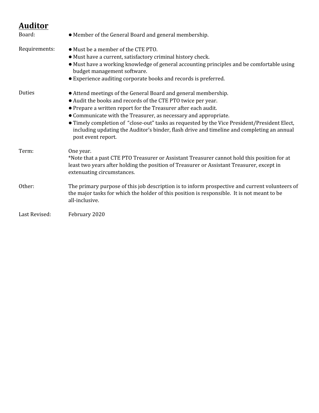#### **Auditor**

| Board:        | • Member of the General Board and general membership.                                                                                                                                                                                                                                                                                                                                                                                                                                   |
|---------------|-----------------------------------------------------------------------------------------------------------------------------------------------------------------------------------------------------------------------------------------------------------------------------------------------------------------------------------------------------------------------------------------------------------------------------------------------------------------------------------------|
| Requirements: | • Must be a member of the CTE PTO.<br>• Must have a current, satisfactory criminal history check.<br>• Must have a working knowledge of general accounting principles and be comfortable using<br>budget management software.<br>• Experience auditing corporate books and records is preferred.                                                                                                                                                                                        |
| Duties        | • Attend meetings of the General Board and general membership.<br>• Audit the books and records of the CTE PTO twice per year.<br>• Prepare a written report for the Treasurer after each audit.<br>• Communicate with the Treasurer, as necessary and appropriate.<br>• Timely completion of "close-out" tasks as requested by the Vice President/President Elect,<br>including updating the Auditor's binder, flash drive and timeline and completing an annual<br>post event report. |
| Term:         | One year.<br>*Note that a past CTE PTO Treasurer or Assistant Treasurer cannot hold this position for at<br>least two years after holding the position of Treasurer or Assistant Treasurer, except in<br>extenuating circumstances.                                                                                                                                                                                                                                                     |
| Other:        | The primary purpose of this job description is to inform prospective and current volunteers of<br>the major tasks for which the holder of this position is responsible. It is not meant to be<br>all-inclusive.                                                                                                                                                                                                                                                                         |
| Last Revised: | February 2020                                                                                                                                                                                                                                                                                                                                                                                                                                                                           |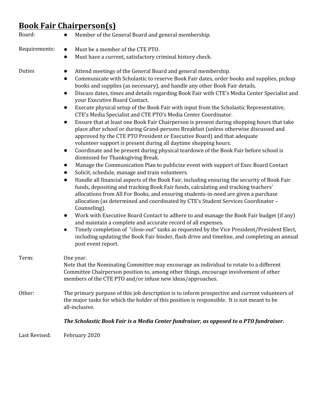# **Book Fair Chairperson(s)**

| Board:        | Member of the General Board and general membership.<br>$\bullet$                                                                                                                                                                                                                                                                                                                                                                                                                                                                                                                                                                                                                                                                                                                                                                                                                                                                                                                                                                                                                                                                                                                                                                                                                                                                                                                                                                                                                                                                                                                                                                                                                                                                                                                                                                                                                                                                                                                                                                             |
|---------------|----------------------------------------------------------------------------------------------------------------------------------------------------------------------------------------------------------------------------------------------------------------------------------------------------------------------------------------------------------------------------------------------------------------------------------------------------------------------------------------------------------------------------------------------------------------------------------------------------------------------------------------------------------------------------------------------------------------------------------------------------------------------------------------------------------------------------------------------------------------------------------------------------------------------------------------------------------------------------------------------------------------------------------------------------------------------------------------------------------------------------------------------------------------------------------------------------------------------------------------------------------------------------------------------------------------------------------------------------------------------------------------------------------------------------------------------------------------------------------------------------------------------------------------------------------------------------------------------------------------------------------------------------------------------------------------------------------------------------------------------------------------------------------------------------------------------------------------------------------------------------------------------------------------------------------------------------------------------------------------------------------------------------------------------|
| Requirements: | Must be a member of the CTE PTO.<br>$\bullet$<br>Must have a current, satisfactory criminal history check.<br>$\bullet$                                                                                                                                                                                                                                                                                                                                                                                                                                                                                                                                                                                                                                                                                                                                                                                                                                                                                                                                                                                                                                                                                                                                                                                                                                                                                                                                                                                                                                                                                                                                                                                                                                                                                                                                                                                                                                                                                                                      |
| Duties        | Attend meetings of the General Board and general membership.<br>Communicate with Scholastic to reserve Book Fair dates, order books and supplies, pickup<br>$\bullet$<br>books and supplies (as necessary), and handle any other Book Fair details.<br>Discuss dates, times and details regarding Book Fair with CTE's Media Center Specialist and<br>$\bullet$<br>your Executive Board Contact.<br>Execute physical setup of the Book Fair with input from the Scholastic Representative,<br>$\bullet$<br>CTE's Media Specialist and CTE PTO's Media Center Coordinator.<br>Ensure that at least one Book Fair Chairperson is present during shopping hours that take<br>$\bullet$<br>place after school or during Grand-persons Breakfast (unless otherwise discussed and<br>approved by the CTE PTO President or Executive Board) and that adequate<br>volunteer support is present during all daytime shopping hours.<br>Coordinate and be present during physical teardown of the Book Fair before school is<br>$\bullet$<br>dismissed for Thanksgiving Break.<br>Manage the Communication Plan to publicize event with support of Exec Board Contact<br>$\bullet$<br>Solicit, schedule, manage and train volunteers.<br>$\bullet$<br>Handle all financial aspects of the Book Fair, including ensuring the security of Book Fair<br>$\bullet$<br>funds, depositing and tracking Book Fair funds, calculating and tracking teachers'<br>allocations from All For Books, and ensuring students-in-need are given a purchase<br>allocation (as determined and coordinated by CTE's Student Services Coordinator -<br>Counseling).<br>Work with Executive Board Contact to adhere to and manage the Book Fair budget (if any)<br>$\bullet$<br>and maintain a complete and accurate record of all expenses.<br>Timely completion of "close-out" tasks as requested by the Vice President/President Elect,<br>$\bullet$<br>including updating the Book Fair binder, flash drive and timeline, and completing an annual<br>post event report. |
| Term:         | One year.<br>Note that the Nominating Committee may encourage an individual to rotate to a different<br>Committee Chairperson position to, among other things, encourage involvement of other<br>members of the CTE PTO and/or infuse new ideas/approaches.                                                                                                                                                                                                                                                                                                                                                                                                                                                                                                                                                                                                                                                                                                                                                                                                                                                                                                                                                                                                                                                                                                                                                                                                                                                                                                                                                                                                                                                                                                                                                                                                                                                                                                                                                                                  |
| Other:        | The primary purpose of this job description is to inform prospective and current volunteers of<br>the major tasks for which the holder of this position is responsible. It is not meant to be<br>all-inclusive.                                                                                                                                                                                                                                                                                                                                                                                                                                                                                                                                                                                                                                                                                                                                                                                                                                                                                                                                                                                                                                                                                                                                                                                                                                                                                                                                                                                                                                                                                                                                                                                                                                                                                                                                                                                                                              |
|               | The Scholastic Book Fair is a Media Center fundraiser, as opposed to a PTO fundraiser.                                                                                                                                                                                                                                                                                                                                                                                                                                                                                                                                                                                                                                                                                                                                                                                                                                                                                                                                                                                                                                                                                                                                                                                                                                                                                                                                                                                                                                                                                                                                                                                                                                                                                                                                                                                                                                                                                                                                                       |
| Last Revised: | February 2020                                                                                                                                                                                                                                                                                                                                                                                                                                                                                                                                                                                                                                                                                                                                                                                                                                                                                                                                                                                                                                                                                                                                                                                                                                                                                                                                                                                                                                                                                                                                                                                                                                                                                                                                                                                                                                                                                                                                                                                                                                |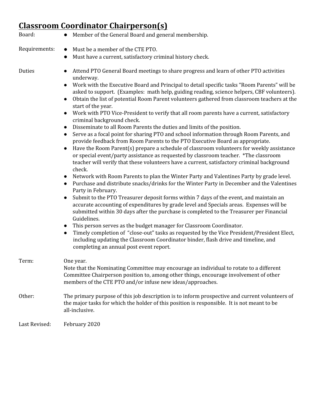# **Classroom Coordinator Chairperson(s)**

| Board:        | Member of the General Board and general membership.                                                                                                                                                                                                                                                                                                                                                                                                                                                                                                                                                                                                                                                                                                                                                                                                                                                                                                                                                                                                                                                                                                                                                                                                                                                                                                                                                                                                                                                                                                                                                                                                                                                                                                                                                                                                                                                                                                       |
|---------------|-----------------------------------------------------------------------------------------------------------------------------------------------------------------------------------------------------------------------------------------------------------------------------------------------------------------------------------------------------------------------------------------------------------------------------------------------------------------------------------------------------------------------------------------------------------------------------------------------------------------------------------------------------------------------------------------------------------------------------------------------------------------------------------------------------------------------------------------------------------------------------------------------------------------------------------------------------------------------------------------------------------------------------------------------------------------------------------------------------------------------------------------------------------------------------------------------------------------------------------------------------------------------------------------------------------------------------------------------------------------------------------------------------------------------------------------------------------------------------------------------------------------------------------------------------------------------------------------------------------------------------------------------------------------------------------------------------------------------------------------------------------------------------------------------------------------------------------------------------------------------------------------------------------------------------------------------------------|
| Requirements: | Must be a member of the CTE PTO.<br>$\bullet$                                                                                                                                                                                                                                                                                                                                                                                                                                                                                                                                                                                                                                                                                                                                                                                                                                                                                                                                                                                                                                                                                                                                                                                                                                                                                                                                                                                                                                                                                                                                                                                                                                                                                                                                                                                                                                                                                                             |
|               | Must have a current, satisfactory criminal history check.<br>$\bullet$                                                                                                                                                                                                                                                                                                                                                                                                                                                                                                                                                                                                                                                                                                                                                                                                                                                                                                                                                                                                                                                                                                                                                                                                                                                                                                                                                                                                                                                                                                                                                                                                                                                                                                                                                                                                                                                                                    |
| Duties        | Attend PTO General Board meetings to share progress and learn of other PTO activities<br>underway.<br>Work with the Executive Board and Principal to detail specific tasks "Room Parents" will be<br>asked to support. (Examples: math help, guiding reading, science helpers, CBF volunteers).<br>Obtain the list of potential Room Parent volunteers gathered from classroom teachers at the<br>$\bullet$<br>start of the year.<br>Work with PTO Vice-President to verify that all room parents have a current, satisfactory<br>criminal background check.<br>Disseminate to all Room Parents the duties and limits of the position.<br>Serve as a focal point for sharing PTO and school information through Room Parents, and<br>provide feedback from Room Parents to the PTO Executive Board as appropriate.<br>Have the Room Parent(s) prepare a schedule of classroom volunteers for weekly assistance<br>$\bullet$<br>or special event/party assistance as requested by classroom teacher. *The classroom<br>teacher will verify that these volunteers have a current, satisfactory criminal background<br>check.<br>Network with Room Parents to plan the Winter Party and Valentines Party by grade level.<br>Purchase and distribute snacks/drinks for the Winter Party in December and the Valentines<br>Party in February.<br>Submit to the PTO Treasurer deposit forms within 7 days of the event, and maintain an<br>$\bullet$<br>accurate accounting of expenditures by grade level and Specials areas. Expenses will be<br>submitted within 30 days after the purchase is completed to the Treasurer per Financial<br>Guidelines.<br>This person serves as the budget manager for Classroom Coordinator.<br>Timely completion of "close-out" tasks as requested by the Vice President/President Elect,<br>including updating the Classroom Coordinator binder, flash drive and timeline, and<br>completing an annual post event report. |
| Term:         | One year.<br>Note that the Nominating Committee may encourage an individual to rotate to a different<br>Committee Chairperson position to, among other things, encourage involvement of other<br>members of the CTE PTO and/or infuse new ideas/approaches.                                                                                                                                                                                                                                                                                                                                                                                                                                                                                                                                                                                                                                                                                                                                                                                                                                                                                                                                                                                                                                                                                                                                                                                                                                                                                                                                                                                                                                                                                                                                                                                                                                                                                               |
| Other:        | The primary purpose of this job description is to inform prospective and current volunteers of<br>the major tasks for which the holder of this position is responsible. It is not meant to be<br>all-inclusive.                                                                                                                                                                                                                                                                                                                                                                                                                                                                                                                                                                                                                                                                                                                                                                                                                                                                                                                                                                                                                                                                                                                                                                                                                                                                                                                                                                                                                                                                                                                                                                                                                                                                                                                                           |
| Last Revised: | February 2020                                                                                                                                                                                                                                                                                                                                                                                                                                                                                                                                                                                                                                                                                                                                                                                                                                                                                                                                                                                                                                                                                                                                                                                                                                                                                                                                                                                                                                                                                                                                                                                                                                                                                                                                                                                                                                                                                                                                             |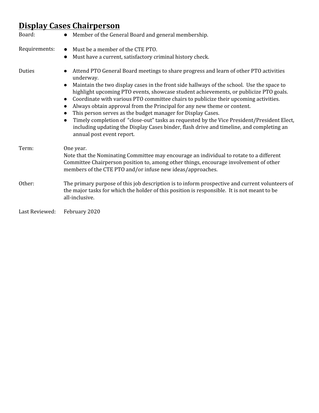### **Display Cases Chairperson**

| Board:         | Member of the General Board and general membership.<br>$\bullet$                                                                                                                                                                                                                                                                                                                                                                                                                                                                                                                                                                                                                                                                                                                                                                |
|----------------|---------------------------------------------------------------------------------------------------------------------------------------------------------------------------------------------------------------------------------------------------------------------------------------------------------------------------------------------------------------------------------------------------------------------------------------------------------------------------------------------------------------------------------------------------------------------------------------------------------------------------------------------------------------------------------------------------------------------------------------------------------------------------------------------------------------------------------|
| Requirements:  | Must be a member of the CTE PTO.<br>$\bullet$<br>Must have a current, satisfactory criminal history check.<br>$\bullet$                                                                                                                                                                                                                                                                                                                                                                                                                                                                                                                                                                                                                                                                                                         |
| Duties         | Attend PTO General Board meetings to share progress and learn of other PTO activities<br>$\bullet$<br>underway.<br>Maintain the two display cases in the front side hallways of the school. Use the space to<br>$\bullet$<br>highlight upcoming PTO events, showcase student achievements, or publicize PTO goals.<br>Coordinate with various PTO committee chairs to publicize their upcoming activities.<br>$\bullet$<br>Always obtain approval from the Principal for any new theme or content.<br>$\bullet$<br>This person serves as the budget manager for Display Cases.<br>$\bullet$<br>Timely completion of "close-out" tasks as requested by the Vice President/President Elect,<br>$\bullet$<br>including updating the Display Cases binder, flash drive and timeline, and completing an<br>annual post event report. |
| Term:          | One year.<br>Note that the Nominating Committee may encourage an individual to rotate to a different<br>Committee Chairperson position to, among other things, encourage involvement of other<br>members of the CTE PTO and/or infuse new ideas/approaches.                                                                                                                                                                                                                                                                                                                                                                                                                                                                                                                                                                     |
| Other:         | The primary purpose of this job description is to inform prospective and current volunteers of<br>the major tasks for which the holder of this position is responsible. It is not meant to be<br>all-inclusive.                                                                                                                                                                                                                                                                                                                                                                                                                                                                                                                                                                                                                 |
| Last Reviewed: | February 2020                                                                                                                                                                                                                                                                                                                                                                                                                                                                                                                                                                                                                                                                                                                                                                                                                   |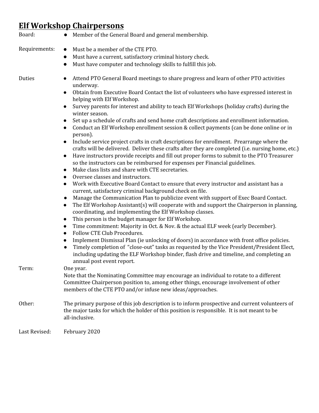#### **Elf Workshop Chairpersons**

| Board:        | Member of the General Board and general membership.                                                                                                                                                                                                                                                                                                                                                                                                                                                                                                                                                                                                                                                                                                                                                                                                                                                                                                                                                                                                                                                                                                                                                                                                                                                                                                                                                                                                                                                                                                                                                                                                                                                                                                                                                                                                                                                                                                                                                                                                                                                                                          |
|---------------|----------------------------------------------------------------------------------------------------------------------------------------------------------------------------------------------------------------------------------------------------------------------------------------------------------------------------------------------------------------------------------------------------------------------------------------------------------------------------------------------------------------------------------------------------------------------------------------------------------------------------------------------------------------------------------------------------------------------------------------------------------------------------------------------------------------------------------------------------------------------------------------------------------------------------------------------------------------------------------------------------------------------------------------------------------------------------------------------------------------------------------------------------------------------------------------------------------------------------------------------------------------------------------------------------------------------------------------------------------------------------------------------------------------------------------------------------------------------------------------------------------------------------------------------------------------------------------------------------------------------------------------------------------------------------------------------------------------------------------------------------------------------------------------------------------------------------------------------------------------------------------------------------------------------------------------------------------------------------------------------------------------------------------------------------------------------------------------------------------------------------------------------|
| Requirements: | Must be a member of the CTE PTO.<br>$\bullet$<br>Must have a current, satisfactory criminal history check.<br>$\bullet$<br>Must have computer and technology skills to fulfill this job.<br>$\bullet$                                                                                                                                                                                                                                                                                                                                                                                                                                                                                                                                                                                                                                                                                                                                                                                                                                                                                                                                                                                                                                                                                                                                                                                                                                                                                                                                                                                                                                                                                                                                                                                                                                                                                                                                                                                                                                                                                                                                        |
| Duties        | Attend PTO General Board meetings to share progress and learn of other PTO activities<br>underway.<br>Obtain from Executive Board Contact the list of volunteers who have expressed interest in<br>$\bullet$<br>helping with Elf Workshop.<br>Survey parents for interest and ability to teach Elf Workshops (holiday crafts) during the<br>$\bullet$<br>winter season.<br>Set up a schedule of crafts and send home craft descriptions and enrollment information.<br>$\bullet$<br>Conduct an Elf Workshop enrollment session & collect payments (can be done online or in<br>$\bullet$<br>person).<br>Include service project crafts in craft descriptions for enrollment. Prearrange where the<br>$\bullet$<br>crafts will be delivered. Deliver these crafts after they are completed (i.e. nursing home, etc.)<br>Have instructors provide receipts and fill out proper forms to submit to the PTO Treasurer<br>$\bullet$<br>so the instructors can be reimbursed for expenses per Financial guidelines.<br>Make class lists and share with CTE secretaries.<br>$\bullet$<br>Oversee classes and instructors.<br>$\bullet$<br>Work with Executive Board Contact to ensure that every instructor and assistant has a<br>$\bullet$<br>current, satisfactory criminal background check on file.<br>Manage the Communication Plan to publicize event with support of Exec Board Contact.<br>$\bullet$<br>The Elf Workshop Assistant(s) will cooperate with and support the Chairperson in planning,<br>$\bullet$<br>coordinating, and implementing the Elf Workshop classes.<br>This person is the budget manager for Elf Workshop.<br>$\bullet$<br>Time commitment: Majority in Oct. & Nov. & the actual ELF week (early December).<br>$\bullet$<br>Follow CTE Club Procedures.<br>$\bullet$<br>Implement Dismissal Plan (ie unlocking of doors) in accordance with front office policies.<br>$\bullet$<br>Timely completion of "close-out" tasks as requested by the Vice President/President Elect,<br>$\bullet$<br>including updating the ELF Workshop binder, flash drive and timeline, and completing an<br>annual post event report. |
| Term:         | One year.<br>Note that the Nominating Committee may encourage an individual to rotate to a different<br>Committee Chairperson position to, among other things, encourage involvement of other<br>members of the CTE PTO and/or infuse new ideas/approaches.                                                                                                                                                                                                                                                                                                                                                                                                                                                                                                                                                                                                                                                                                                                                                                                                                                                                                                                                                                                                                                                                                                                                                                                                                                                                                                                                                                                                                                                                                                                                                                                                                                                                                                                                                                                                                                                                                  |
| Other:        | The primary purpose of this job description is to inform prospective and current volunteers of<br>the major tasks for which the holder of this position is responsible. It is not meant to be<br>all-inclusive.                                                                                                                                                                                                                                                                                                                                                                                                                                                                                                                                                                                                                                                                                                                                                                                                                                                                                                                                                                                                                                                                                                                                                                                                                                                                                                                                                                                                                                                                                                                                                                                                                                                                                                                                                                                                                                                                                                                              |
| Last Revised: | February 2020                                                                                                                                                                                                                                                                                                                                                                                                                                                                                                                                                                                                                                                                                                                                                                                                                                                                                                                                                                                                                                                                                                                                                                                                                                                                                                                                                                                                                                                                                                                                                                                                                                                                                                                                                                                                                                                                                                                                                                                                                                                                                                                                |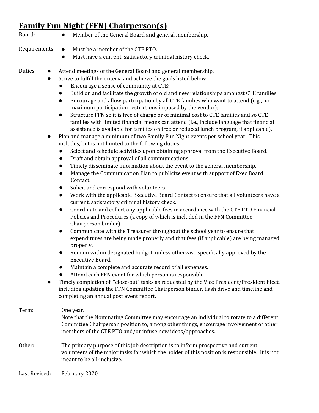#### **Family Fun Night (FFN) Chairperson(s)**

- Board: Member of the General Board and general membership.
- Requirements: Must be a member of the CTE PTO.
	- Must have a current, satisfactory criminal history check.
- Duties Attend meetings of the General Board and general membership.
	- Strive to fulfill the criteria and achieve the goals listed below:
		- Encourage a sense of community at CTE;
		- Build on and facilitate the growth of old and new relationships amongst CTE families;
		- Encourage and allow participation by all CTE families who want to attend (e.g., no maximum participation restrictions imposed by the vendor);
		- Structure FFN so it is free of charge or of minimal cost to CTE families and so CTE families with limited financial means can attend (i.e., include language that financial assistance is available for families on free or reduced lunch program, if applicable).
	- Plan and manage a minimum of two Family Fun Night events per school year. This includes, but is not limited to the following duties:
		- Select and schedule activities upon obtaining approval from the Executive Board.
		- Draft and obtain approval of all communications.
		- Timely disseminate information about the event to the general membership.
		- Manage the Communication Plan to publicize event with support of Exec Board Contact.
		- Solicit and correspond with volunteers.
		- Work with the applicable Executive Board Contact to ensure that all volunteers have a current, satisfactory criminal history check.
		- Coordinate and collect any applicable fees in accordance with the CTE PTO Financial Policies and Procedures (a copy of which is included in the FFN Committee Chairperson binder).
		- Communicate with the Treasurer throughout the school year to ensure that expenditures are being made properly and that fees (if applicable) are being managed properly.
		- Remain within designated budget, unless otherwise specifically approved by the Executive Board.
		- Maintain a complete and accurate record of all expenses.
		- Attend each FFN event for which person is responsible.
	- Timely completion of "close-out" tasks as requested by the Vice President/President Elect, including updating the FFN Committee Chairperson binder, flash drive and timeline and completing an annual post event report.

```
Term: One year.
                Note that the Nominating Committee may encourage an individual to rotate to a different
                Committee Chairperson position to, among other things, encourage involvement of other
                members of the CTE PTO and/or infuse new ideas/approaches.
Other: The primary purpose of this job description is to inform prospective and current
                volunteers of the major tasks for which the holder of this position is responsible. It is not
                meant to be all-inclusive.
```
Last Revised: February 2020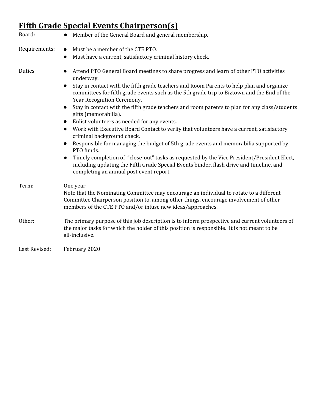# **Fifth Grade Special Events Chairperson(s)**

| Board:        | Member of the General Board and general membership.                                                                                                                                                                                                                                                                                                                                                                                                                                                                                                                                                                                                                                                                                                                                                                                                                                                                                                                                                                                                               |
|---------------|-------------------------------------------------------------------------------------------------------------------------------------------------------------------------------------------------------------------------------------------------------------------------------------------------------------------------------------------------------------------------------------------------------------------------------------------------------------------------------------------------------------------------------------------------------------------------------------------------------------------------------------------------------------------------------------------------------------------------------------------------------------------------------------------------------------------------------------------------------------------------------------------------------------------------------------------------------------------------------------------------------------------------------------------------------------------|
| Requirements: | Must be a member of the CTE PTO.<br>$\bullet$<br>Must have a current, satisfactory criminal history check.<br>$\bullet$                                                                                                                                                                                                                                                                                                                                                                                                                                                                                                                                                                                                                                                                                                                                                                                                                                                                                                                                           |
| Duties        | Attend PTO General Board meetings to share progress and learn of other PTO activities<br>$\bullet$<br>underway.<br>Stay in contact with the fifth grade teachers and Room Parents to help plan and organize<br>$\bullet$<br>committees for fifth grade events such as the 5th grade trip to Biztown and the End of the<br>Year Recognition Ceremony.<br>Stay in contact with the fifth grade teachers and room parents to plan for any class/students<br>$\bullet$<br>gifts (memorabilia).<br>Enlist volunteers as needed for any events.<br>$\bullet$<br>Work with Executive Board Contact to verify that volunteers have a current, satisfactory<br>$\bullet$<br>criminal background check.<br>Responsible for managing the budget of 5th grade events and memorabilia supported by<br>$\bullet$<br>PTO funds.<br>Timely completion of "close-out" tasks as requested by the Vice President/President Elect,<br>$\bullet$<br>including updating the Fifth Grade Special Events binder, flash drive and timeline, and<br>completing an annual post event report. |
| Term:         | One year.<br>Note that the Nominating Committee may encourage an individual to rotate to a different<br>Committee Chairperson position to, among other things, encourage involvement of other<br>members of the CTE PTO and/or infuse new ideas/approaches.                                                                                                                                                                                                                                                                                                                                                                                                                                                                                                                                                                                                                                                                                                                                                                                                       |
| Other:        | The primary purpose of this job description is to inform prospective and current volunteers of<br>the major tasks for which the holder of this position is responsible. It is not meant to be<br>all-inclusive.                                                                                                                                                                                                                                                                                                                                                                                                                                                                                                                                                                                                                                                                                                                                                                                                                                                   |
| Last Revised: | February 2020                                                                                                                                                                                                                                                                                                                                                                                                                                                                                                                                                                                                                                                                                                                                                                                                                                                                                                                                                                                                                                                     |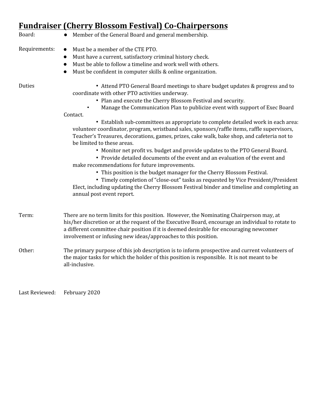## **Fundraiser (Cherry Blossom Festival) Co-Chairpersons**

| Board:        | Member of the General Board and general membership.                                                                                                                                                                                                                                                                                                                                                                                                                                                                                                                                                                                                                                                                                                                                                                                                                                                                                                                                                                                                                                                                      |
|---------------|--------------------------------------------------------------------------------------------------------------------------------------------------------------------------------------------------------------------------------------------------------------------------------------------------------------------------------------------------------------------------------------------------------------------------------------------------------------------------------------------------------------------------------------------------------------------------------------------------------------------------------------------------------------------------------------------------------------------------------------------------------------------------------------------------------------------------------------------------------------------------------------------------------------------------------------------------------------------------------------------------------------------------------------------------------------------------------------------------------------------------|
| Requirements: | Must be a member of the CTE PTO.<br>$\bullet$<br>Must have a current, satisfactory criminal history check.<br>$\bullet$<br>Must be able to follow a timeline and work well with others.<br>$\bullet$<br>Must be confident in computer skills & online organization.<br>$\bullet$                                                                                                                                                                                                                                                                                                                                                                                                                                                                                                                                                                                                                                                                                                                                                                                                                                         |
| Duties        | • Attend PTO General Board meetings to share budget updates & progress and to<br>coordinate with other PTO activities underway.<br>• Plan and execute the Cherry Blossom Festival and security.<br>Manage the Communication Plan to publicize event with support of Exec Board<br>Contact.<br>• Establish sub-committees as appropriate to complete detailed work in each area:<br>volunteer coordinator, program, wristband sales, sponsors/raffle items, raffle supervisors,<br>Teacher's Treasures, decorations, games, prizes, cake walk, bake shop, and cafeteria not to<br>be limited to these areas.<br>• Monitor net profit vs. budget and provide updates to the PTO General Board.<br>• Provide detailed documents of the event and an evaluation of the event and<br>make recommendations for future improvements.<br>• This position is the budget manager for the Cherry Blossom Festival.<br>• Timely completion of "close-out" tasks as requested by Vice President/President<br>Elect, including updating the Cherry Blossom Festival binder and timeline and completing an<br>annual post event report. |
| Term:         | There are no term limits for this position. However, the Nominating Chairperson may, at<br>his/her discretion or at the request of the Executive Board, encourage an individual to rotate to<br>a different committee chair position if it is deemed desirable for encouraging newcomer<br>involvement or infusing new ideas/approaches to this position.                                                                                                                                                                                                                                                                                                                                                                                                                                                                                                                                                                                                                                                                                                                                                                |
| Other:        | The primary purpose of this job description is to inform prospective and current volunteers of<br>the major tasks for which the holder of this position is responsible. It is not meant to be<br>all-inclusive.                                                                                                                                                                                                                                                                                                                                                                                                                                                                                                                                                                                                                                                                                                                                                                                                                                                                                                          |

Last Reviewed: February 2020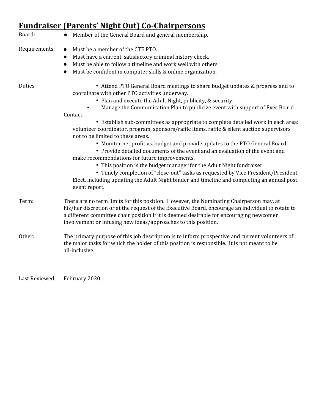# **Fundraiser (Parents' Night Out) Co-Chairpersons**

| Board:        | Member of the General Board and general membership.                                                                                                                                                                                                                                                                                                                                                                                                                                                                                                                                                                                                                                                                                                                                                                                                                                                                                                                                                              |
|---------------|------------------------------------------------------------------------------------------------------------------------------------------------------------------------------------------------------------------------------------------------------------------------------------------------------------------------------------------------------------------------------------------------------------------------------------------------------------------------------------------------------------------------------------------------------------------------------------------------------------------------------------------------------------------------------------------------------------------------------------------------------------------------------------------------------------------------------------------------------------------------------------------------------------------------------------------------------------------------------------------------------------------|
| Requirements: | Must be a member of the CTE PTO.<br>$\bullet$<br>Must have a current, satisfactory criminal history check.<br>$\bullet$<br>Must be able to follow a timeline and work well with others.<br>$\bullet$<br>Must be confident in computer skills & online organization.<br>$\bullet$                                                                                                                                                                                                                                                                                                                                                                                                                                                                                                                                                                                                                                                                                                                                 |
| Duties        | • Attend PTO General Board meetings to share budget updates & progress and to<br>coordinate with other PTO activities underway.<br>• Plan and execute the Adult Night, publicity, & security.<br>Manage the Communication Plan to publicize event with support of Exec Board<br>Contact.<br>• Establish sub-committees as appropriate to complete detailed work in each area:<br>volunteer coordinator, program, sponsors/raffle items, raffle & silent auction supervisors<br>not to be limited to these areas.<br>• Monitor net profit vs. budget and provide updates to the PTO General Board.<br>• Provide detailed documents of the event and an evaluation of the event and<br>make recommendations for future improvements.<br>• This position is the budget manager for the Adult Night fundraiser.<br>• Timely completion of "close-out" tasks as requested by Vice President/President<br>Elect, including updating the Adult Night binder and timeline and completing an annual post<br>event report. |
| Term:         | There are no term limits for this position. However, the Nominating Chairperson may, at<br>his/her discretion or at the request of the Executive Board, encourage an individual to rotate to<br>a different committee chair position if it is deemed desirable for encouraging newcomer<br>involvement or infusing new ideas/approaches to this position.                                                                                                                                                                                                                                                                                                                                                                                                                                                                                                                                                                                                                                                        |
| Other:        | The primary purpose of this job description is to inform prospective and current volunteers of<br>the major tasks for which the holder of this position is responsible. It is not meant to be<br>all-inclusive.                                                                                                                                                                                                                                                                                                                                                                                                                                                                                                                                                                                                                                                                                                                                                                                                  |

Last Reviewed: February 2020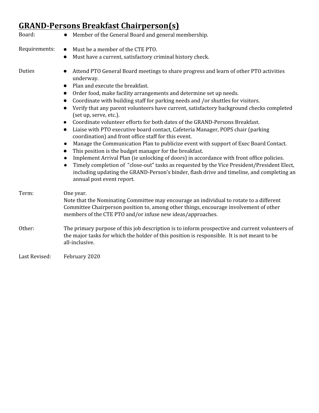# **GRAND-Persons Breakfast Chairperson(s)**

| Board:        | Member of the General Board and general membership.                                                                                                                                                                                                                                                                                                                                                                                                                                                                                                                                                                                                                                                                                                                                                                                                                                                                                                                                                                                                                                                                                                                                                             |
|---------------|-----------------------------------------------------------------------------------------------------------------------------------------------------------------------------------------------------------------------------------------------------------------------------------------------------------------------------------------------------------------------------------------------------------------------------------------------------------------------------------------------------------------------------------------------------------------------------------------------------------------------------------------------------------------------------------------------------------------------------------------------------------------------------------------------------------------------------------------------------------------------------------------------------------------------------------------------------------------------------------------------------------------------------------------------------------------------------------------------------------------------------------------------------------------------------------------------------------------|
| Requirements: | Must be a member of the CTE PTO.<br>$\bullet$                                                                                                                                                                                                                                                                                                                                                                                                                                                                                                                                                                                                                                                                                                                                                                                                                                                                                                                                                                                                                                                                                                                                                                   |
|               | Must have a current, satisfactory criminal history check.<br>$\bullet$                                                                                                                                                                                                                                                                                                                                                                                                                                                                                                                                                                                                                                                                                                                                                                                                                                                                                                                                                                                                                                                                                                                                          |
| Duties        | Attend PTO General Board meetings to share progress and learn of other PTO activities<br>underway.<br>Plan and execute the breakfast.<br>$\bullet$<br>Order food, make facility arrangements and determine set up needs.<br>$\bullet$<br>Coordinate with building staff for parking needs and /or shuttles for visitors.<br>$\bullet$<br>Verify that any parent volunteers have current, satisfactory background checks completed<br>$\bullet$<br>(set up, serve, etc.).<br>Coordinate volunteer efforts for both dates of the GRAND-Persons Breakfast.<br>$\bullet$<br>Liaise with PTO executive board contact, Cafeteria Manager, POPS chair (parking<br>$\bullet$<br>coordination) and front office staff for this event.<br>Manage the Communication Plan to publicize event with support of Exec Board Contact.<br>$\bullet$<br>This position is the budget manager for the breakfast.<br>Implement Arrival Plan (ie unlocking of doors) in accordance with front office policies.<br>Timely completion of "close-out" tasks as requested by the Vice President/President Elect,<br>including updating the GRAND-Person's binder, flash drive and timeline, and completing an<br>annual post event report. |
| Term:         | One year.<br>Note that the Nominating Committee may encourage an individual to rotate to a different<br>Committee Chairperson position to, among other things, encourage involvement of other<br>members of the CTE PTO and/or infuse new ideas/approaches.                                                                                                                                                                                                                                                                                                                                                                                                                                                                                                                                                                                                                                                                                                                                                                                                                                                                                                                                                     |
| Other:        | The primary purpose of this job description is to inform prospective and current volunteers of<br>the major tasks for which the holder of this position is responsible. It is not meant to be<br>all-inclusive.                                                                                                                                                                                                                                                                                                                                                                                                                                                                                                                                                                                                                                                                                                                                                                                                                                                                                                                                                                                                 |
| Last Revised: | February 2020                                                                                                                                                                                                                                                                                                                                                                                                                                                                                                                                                                                                                                                                                                                                                                                                                                                                                                                                                                                                                                                                                                                                                                                                   |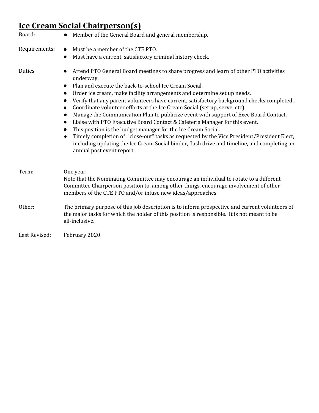## **Ice Cream Social Chairperson(s)**

| Board:        | Member of the General Board and general membership.                                                                                                                                                                                                                                                                                                                                                                                                                                                                                                                                                                                                                                                                                                                                                                                                                                                                                                               |
|---------------|-------------------------------------------------------------------------------------------------------------------------------------------------------------------------------------------------------------------------------------------------------------------------------------------------------------------------------------------------------------------------------------------------------------------------------------------------------------------------------------------------------------------------------------------------------------------------------------------------------------------------------------------------------------------------------------------------------------------------------------------------------------------------------------------------------------------------------------------------------------------------------------------------------------------------------------------------------------------|
| Requirements: | Must be a member of the CTE PTO.<br>$\bullet$<br>Must have a current, satisfactory criminal history check.<br>$\bullet$                                                                                                                                                                                                                                                                                                                                                                                                                                                                                                                                                                                                                                                                                                                                                                                                                                           |
| Duties        | Attend PTO General Board meetings to share progress and learn of other PTO activities<br>underway.<br>Plan and execute the back-to-school Ice Cream Social.<br>$\bullet$<br>Order ice cream, make facility arrangements and determine set up needs.<br>$\bullet$<br>Verify that any parent volunteers have current, satisfactory background checks completed.<br>$\bullet$<br>Coordinate volunteer efforts at the Ice Cream Social. (set up, serve, etc)<br>$\bullet$<br>Manage the Communication Plan to publicize event with support of Exec Board Contact.<br>Liaise with PTO Executive Board Contact & Cafeteria Manager for this event.<br>$\bullet$<br>This position is the budget manager for the Ice Cream Social.<br>$\bullet$<br>Timely completion of "close-out" tasks as requested by the Vice President/President Elect,<br>including updating the Ice Cream Social binder, flash drive and timeline, and completing an<br>annual post event report. |
| Term:         | One year.<br>Note that the Nominating Committee may encourage an individual to rotate to a different<br>Committee Chairperson position to, among other things, encourage involvement of other<br>members of the CTE PTO and/or infuse new ideas/approaches.                                                                                                                                                                                                                                                                                                                                                                                                                                                                                                                                                                                                                                                                                                       |
| Other:        | The primary purpose of this job description is to inform prospective and current volunteers of<br>the major tasks for which the holder of this position is responsible. It is not meant to be<br>all-inclusive.                                                                                                                                                                                                                                                                                                                                                                                                                                                                                                                                                                                                                                                                                                                                                   |
| Last Revised: | February 2020                                                                                                                                                                                                                                                                                                                                                                                                                                                                                                                                                                                                                                                                                                                                                                                                                                                                                                                                                     |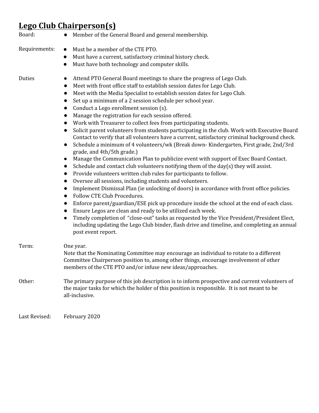### **Lego Club Chairperson(s)**

| Board:        | • Member of the General Board and general membership.                                                                                                                                                                                                                                                                                                                                                                                                                                                                                                                                                                                                                                                                                                                                                                                                                                                                                                                                                                                                                                                                                                                                                                                                                                                                                                                                                                                                                                                                                                                                                                                                                                                                                                                                                                         |
|---------------|-------------------------------------------------------------------------------------------------------------------------------------------------------------------------------------------------------------------------------------------------------------------------------------------------------------------------------------------------------------------------------------------------------------------------------------------------------------------------------------------------------------------------------------------------------------------------------------------------------------------------------------------------------------------------------------------------------------------------------------------------------------------------------------------------------------------------------------------------------------------------------------------------------------------------------------------------------------------------------------------------------------------------------------------------------------------------------------------------------------------------------------------------------------------------------------------------------------------------------------------------------------------------------------------------------------------------------------------------------------------------------------------------------------------------------------------------------------------------------------------------------------------------------------------------------------------------------------------------------------------------------------------------------------------------------------------------------------------------------------------------------------------------------------------------------------------------------|
| Requirements: | Must be a member of the CTE PTO.<br>$\bullet$<br>Must have a current, satisfactory criminal history check.<br>$\bullet$<br>Must have both technology and computer skills.<br>$\bullet$                                                                                                                                                                                                                                                                                                                                                                                                                                                                                                                                                                                                                                                                                                                                                                                                                                                                                                                                                                                                                                                                                                                                                                                                                                                                                                                                                                                                                                                                                                                                                                                                                                        |
| Duties        | Attend PTO General Board meetings to share the progress of Lego Club.<br>Meet with front office staff to establish session dates for Lego Club.<br>$\bullet$<br>Meet with the Media Specialist to establish session dates for Lego Club.<br>$\bullet$<br>Set up a minimum of a 2 session schedule per school year.<br>$\bullet$<br>Conduct a Lego enrollment session (s).<br>$\bullet$<br>Manage the registration for each session offered.<br>$\bullet$<br>Work with Treasurer to collect fees from participating students.<br>$\bullet$<br>Solicit parent volunteers from students participating in the club. Work with Executive Board<br>$\bullet$<br>Contact to verify that all volunteers have a current, satisfactory criminal background check.<br>Schedule a minimum of 4 volunteers/wk (Break down-Kindergarten, First grade, 2nd/3rd<br>$\bullet$<br>grade, and 4th/5th grade.)<br>Manage the Communication Plan to publicize event with support of Exec Board Contact.<br>$\bullet$<br>Schedule and contact club volunteers notifying them of the day(s) they will assist.<br>$\bullet$<br>Provide volunteers written club rules for participants to follow.<br>$\bullet$<br>Oversee all sessions, including students and volunteers.<br>$\bullet$<br>Implement Dismissal Plan (ie unlocking of doors) in accordance with front office policies.<br>$\bullet$<br>Follow CTE Club Procedures.<br>$\bullet$<br>Enforce parent/guardian/ESE pick up procedure inside the school at the end of each class.<br>Ensure Legos are clean and ready to be utilized each week.<br>$\bullet$<br>Timely completion of "close-out" tasks as requested by the Vice President/President Elect,<br>$\bullet$<br>including updating the Lego Club binder, flash drive and timeline, and completing an annual<br>post event report. |
| Term:         | One year.<br>Note that the Nominating Committee may encourage an individual to rotate to a different<br>Committee Chairperson position to, among other things, encourage involvement of other<br>members of the CTE PTO and/or infuse new ideas/approaches.                                                                                                                                                                                                                                                                                                                                                                                                                                                                                                                                                                                                                                                                                                                                                                                                                                                                                                                                                                                                                                                                                                                                                                                                                                                                                                                                                                                                                                                                                                                                                                   |
| Other:        | The primary purpose of this job description is to inform prospective and current volunteers of<br>the major tasks for which the holder of this position is responsible. It is not meant to be<br>all-inclusive.                                                                                                                                                                                                                                                                                                                                                                                                                                                                                                                                                                                                                                                                                                                                                                                                                                                                                                                                                                                                                                                                                                                                                                                                                                                                                                                                                                                                                                                                                                                                                                                                               |
| Last Revised: | February 2020                                                                                                                                                                                                                                                                                                                                                                                                                                                                                                                                                                                                                                                                                                                                                                                                                                                                                                                                                                                                                                                                                                                                                                                                                                                                                                                                                                                                                                                                                                                                                                                                                                                                                                                                                                                                                 |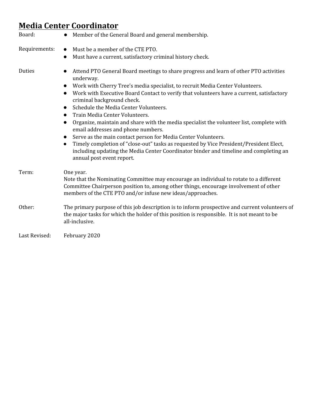#### **Media Center Coordinator**

| Board:        | Member of the General Board and general membership.                                                                                                                                                                                                                                                                                                                                                                                                                                                                                                                                                                                                                                                                                                                                                                                   |
|---------------|---------------------------------------------------------------------------------------------------------------------------------------------------------------------------------------------------------------------------------------------------------------------------------------------------------------------------------------------------------------------------------------------------------------------------------------------------------------------------------------------------------------------------------------------------------------------------------------------------------------------------------------------------------------------------------------------------------------------------------------------------------------------------------------------------------------------------------------|
| Requirements: | Must be a member of the CTE PTO.<br>Must have a current, satisfactory criminal history check.<br>$\bullet$                                                                                                                                                                                                                                                                                                                                                                                                                                                                                                                                                                                                                                                                                                                            |
| Duties        | Attend PTO General Board meetings to share progress and learn of other PTO activities<br>underway.<br>Work with Cherry Tree's media specialist, to recruit Media Center Volunteers.<br>$\bullet$<br>Work with Executive Board Contact to verify that volunteers have a current, satisfactory<br>criminal background check.<br>Schedule the Media Center Volunteers.<br>$\bullet$<br>Train Media Center Volunteers.<br>Organize, maintain and share with the media specialist the volunteer list, complete with<br>email addresses and phone numbers.<br>Serve as the main contact person for Media Center Volunteers.<br>Timely completion of "close-out" tasks as requested by Vice President/President Elect,<br>including updating the Media Center Coordinator binder and timeline and completing an<br>annual post event report. |
| Term:         | One year.<br>Note that the Nominating Committee may encourage an individual to rotate to a different<br>Committee Chairperson position to, among other things, encourage involvement of other<br>members of the CTE PTO and/or infuse new ideas/approaches.                                                                                                                                                                                                                                                                                                                                                                                                                                                                                                                                                                           |
| Other:        | The primary purpose of this job description is to inform prospective and current volunteers of<br>the major tasks for which the holder of this position is responsible. It is not meant to be<br>all-inclusive.                                                                                                                                                                                                                                                                                                                                                                                                                                                                                                                                                                                                                       |
| Last Revised: | February 2020                                                                                                                                                                                                                                                                                                                                                                                                                                                                                                                                                                                                                                                                                                                                                                                                                         |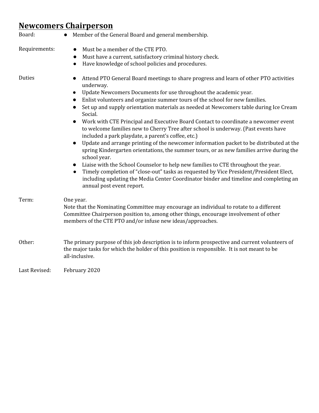## **Newcomers Chairperson**

| Board:        | Member of the General Board and general membership.                                                                                                                                                                                                                                                                                                                                                                                                                                                                                                                                                                                                                                                                                                                                                                                                                                                                                                                                                                                                                                                                                            |
|---------------|------------------------------------------------------------------------------------------------------------------------------------------------------------------------------------------------------------------------------------------------------------------------------------------------------------------------------------------------------------------------------------------------------------------------------------------------------------------------------------------------------------------------------------------------------------------------------------------------------------------------------------------------------------------------------------------------------------------------------------------------------------------------------------------------------------------------------------------------------------------------------------------------------------------------------------------------------------------------------------------------------------------------------------------------------------------------------------------------------------------------------------------------|
| Requirements: | Must be a member of the CTE PTO.<br>$\bullet$<br>Must have a current, satisfactory criminal history check.<br>$\bullet$<br>Have knowledge of school policies and procedures.<br>$\bullet$                                                                                                                                                                                                                                                                                                                                                                                                                                                                                                                                                                                                                                                                                                                                                                                                                                                                                                                                                      |
| Duties        | Attend PTO General Board meetings to share progress and learn of other PTO activities<br>underway.<br>Update Newcomers Documents for use throughout the academic year.<br>$\bullet$<br>Enlist volunteers and organize summer tours of the school for new families.<br>$\bullet$<br>Set up and supply orientation materials as needed at Newcomers table during Ice Cream<br>Social.<br>Work with CTE Principal and Executive Board Contact to coordinate a newcomer event<br>to welcome families new to Cherry Tree after school is underway. (Past events have<br>included a park playdate, a parent's coffee, etc.)<br>Update and arrange printing of the newcomer information packet to be distributed at the<br>$\bullet$<br>spring Kindergarten orientations, the summer tours, or as new families arrive during the<br>school year.<br>Liaise with the School Counselor to help new families to CTE throughout the year.<br>Timely completion of "close-out" tasks as requested by Vice President/President Elect,<br>including updating the Media Center Coordinator binder and timeline and completing an<br>annual post event report. |
| Term:         | One year.<br>Note that the Nominating Committee may encourage an individual to rotate to a different<br>Committee Chairperson position to, among other things, encourage involvement of other<br>members of the CTE PTO and/or infuse new ideas/approaches.                                                                                                                                                                                                                                                                                                                                                                                                                                                                                                                                                                                                                                                                                                                                                                                                                                                                                    |
| Other:        | The primary purpose of this job description is to inform prospective and current volunteers of<br>the major tasks for which the holder of this position is responsible. It is not meant to be<br>all-inclusive.                                                                                                                                                                                                                                                                                                                                                                                                                                                                                                                                                                                                                                                                                                                                                                                                                                                                                                                                |
| Last Revised: | February 2020                                                                                                                                                                                                                                                                                                                                                                                                                                                                                                                                                                                                                                                                                                                                                                                                                                                                                                                                                                                                                                                                                                                                  |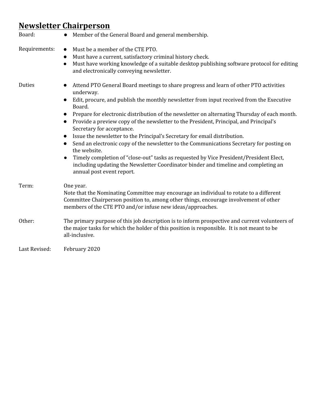### **Newsletter Chairperson**

| Board:        | Member of the General Board and general membership.<br>$\bullet$                                                                                                                                                                                                                                                                                                                                                                                                                                                                                                                                                                                                                                                                                                                                                                                                                                                                 |
|---------------|----------------------------------------------------------------------------------------------------------------------------------------------------------------------------------------------------------------------------------------------------------------------------------------------------------------------------------------------------------------------------------------------------------------------------------------------------------------------------------------------------------------------------------------------------------------------------------------------------------------------------------------------------------------------------------------------------------------------------------------------------------------------------------------------------------------------------------------------------------------------------------------------------------------------------------|
| Requirements: | Must be a member of the CTE PTO.<br>$\bullet$<br>Must have a current, satisfactory criminal history check.<br>$\bullet$<br>Must have working knowledge of a suitable desktop publishing software protocol for editing<br>$\bullet$<br>and electronically conveying newsletter.                                                                                                                                                                                                                                                                                                                                                                                                                                                                                                                                                                                                                                                   |
| Duties        | Attend PTO General Board meetings to share progress and learn of other PTO activities<br>$\bullet$<br>underway.<br>Edit, procure, and publish the monthly newsletter from input received from the Executive<br>$\bullet$<br>Board.<br>Prepare for electronic distribution of the newsletter on alternating Thursday of each month.<br>$\bullet$<br>Provide a preview copy of the newsletter to the President, Principal, and Principal's<br>$\bullet$<br>Secretary for acceptance.<br>Issue the newsletter to the Principal's Secretary for email distribution.<br>$\bullet$<br>Send an electronic copy of the newsletter to the Communications Secretary for posting on<br>$\bullet$<br>the website.<br>Timely completion of "close-out" tasks as requested by Vice President/President Elect,<br>$\bullet$<br>including updating the Newsletter Coordinator binder and timeline and completing an<br>annual post event report. |
| Term:         | One year.<br>Note that the Nominating Committee may encourage an individual to rotate to a different<br>Committee Chairperson position to, among other things, encourage involvement of other<br>members of the CTE PTO and/or infuse new ideas/approaches.                                                                                                                                                                                                                                                                                                                                                                                                                                                                                                                                                                                                                                                                      |
| Other:        | The primary purpose of this job description is to inform prospective and current volunteers of<br>the major tasks for which the holder of this position is responsible. It is not meant to be<br>all-inclusive.                                                                                                                                                                                                                                                                                                                                                                                                                                                                                                                                                                                                                                                                                                                  |
| Last Revised: | February 2020                                                                                                                                                                                                                                                                                                                                                                                                                                                                                                                                                                                                                                                                                                                                                                                                                                                                                                                    |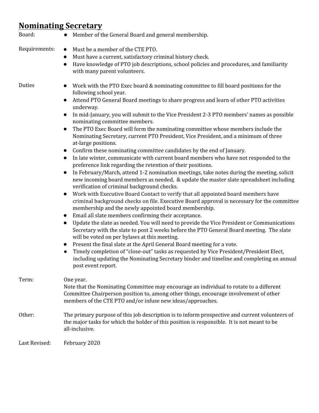## **Nominating Secretary**

| Board:        | Member of the General Board and general membership.                                                                                                                                                                                                                                                                                                                                                                                                                                                                                                                                                                                                                                                                                                                                                                                                                                                                                                                                                                                                                                                                                                                                                                                                                                                                                                                                                                                                                                                                                                                                                                                                                                                                                                                                                                                                                                                                                                                                                                  |
|---------------|----------------------------------------------------------------------------------------------------------------------------------------------------------------------------------------------------------------------------------------------------------------------------------------------------------------------------------------------------------------------------------------------------------------------------------------------------------------------------------------------------------------------------------------------------------------------------------------------------------------------------------------------------------------------------------------------------------------------------------------------------------------------------------------------------------------------------------------------------------------------------------------------------------------------------------------------------------------------------------------------------------------------------------------------------------------------------------------------------------------------------------------------------------------------------------------------------------------------------------------------------------------------------------------------------------------------------------------------------------------------------------------------------------------------------------------------------------------------------------------------------------------------------------------------------------------------------------------------------------------------------------------------------------------------------------------------------------------------------------------------------------------------------------------------------------------------------------------------------------------------------------------------------------------------------------------------------------------------------------------------------------------------|
| Requirements: | Must be a member of the CTE PTO.<br>$\bullet$<br>Must have a current, satisfactory criminal history check.<br>$\bullet$<br>Have knowledge of PTO job descriptions, school policies and procedures, and familiarity<br>$\bullet$<br>with many parent volunteers.                                                                                                                                                                                                                                                                                                                                                                                                                                                                                                                                                                                                                                                                                                                                                                                                                                                                                                                                                                                                                                                                                                                                                                                                                                                                                                                                                                                                                                                                                                                                                                                                                                                                                                                                                      |
| Duties        | Work with the PTO Exec board & nominating committee to fill board positions for the<br>$\bullet$<br>following school year.<br>Attend PTO General Board meetings to share progress and learn of other PTO activities<br>$\bullet$<br>underway.<br>In mid-January, you will submit to the Vice President 2-3 PTO members' names as possible<br>$\bullet$<br>nominating committee members.<br>The PTO Exec Board will form the nominating committee whose members include the<br>$\bullet$<br>Nominating Secretary, current PTO President, Vice President, and a minimum of three<br>at-large positions.<br>Confirm these nominating committee candidates by the end of January.<br>$\bullet$<br>In late winter, communicate with current board members who have not responded to the<br>$\bullet$<br>preference link regarding the retention of their positions.<br>In February/March, attend 1-2 nomination meetings, take notes during the meeting, solicit<br>$\bullet$<br>new incoming board members as needed, & update the master slate spreadsheet including<br>verification of criminal background checks.<br>Work with Executive Board Contact to verify that all appointed board members have<br>$\bullet$<br>criminal background checks on file. Executive Board approval is necessary for the committee<br>membership and the newly appointed board membership.<br>Email all slate members confirming their acceptance.<br>$\bullet$<br>Update the slate as needed. You will need to provide the Vice President or Communications<br>$\bullet$<br>Secretary with the slate to post 2 weeks before the PTO General Board meeting. The slate<br>will be voted on per bylaws at this meeting.<br>Present the final slate at the April General Board meeting for a vote.<br>$\bullet$<br>Timely completion of "close-out" tasks as requested by Vice President/President Elect,<br>$\bullet$<br>including updating the Nominating Secretary binder and timeline and completing an annual<br>post event report. |
| Term:         | One year.<br>Note that the Nominating Committee may encourage an individual to rotate to a different<br>Committee Chairperson position to, among other things, encourage involvement of other<br>members of the CTE PTO and/or infuse new ideas/approaches.                                                                                                                                                                                                                                                                                                                                                                                                                                                                                                                                                                                                                                                                                                                                                                                                                                                                                                                                                                                                                                                                                                                                                                                                                                                                                                                                                                                                                                                                                                                                                                                                                                                                                                                                                          |
| Other:        | The primary purpose of this job description is to inform prospective and current volunteers of<br>the major tasks for which the holder of this position is responsible. It is not meant to be<br>all-inclusive.                                                                                                                                                                                                                                                                                                                                                                                                                                                                                                                                                                                                                                                                                                                                                                                                                                                                                                                                                                                                                                                                                                                                                                                                                                                                                                                                                                                                                                                                                                                                                                                                                                                                                                                                                                                                      |
| Last Revised: | February 2020                                                                                                                                                                                                                                                                                                                                                                                                                                                                                                                                                                                                                                                                                                                                                                                                                                                                                                                                                                                                                                                                                                                                                                                                                                                                                                                                                                                                                                                                                                                                                                                                                                                                                                                                                                                                                                                                                                                                                                                                        |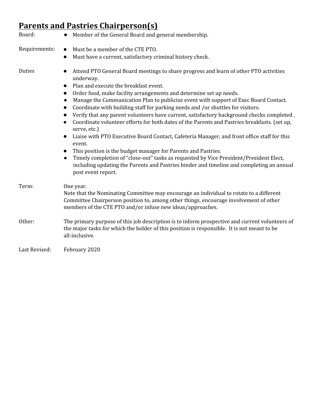# **Parents and Pastries Chairperson(s)**

| Board:        | Member of the General Board and general membership.                                                                                                                                                                                                                                                                                                                                                                                                                                                                                                                                                                                                                                                                                                                                                                                                                                                                                                                                                                                                                                                                  |
|---------------|----------------------------------------------------------------------------------------------------------------------------------------------------------------------------------------------------------------------------------------------------------------------------------------------------------------------------------------------------------------------------------------------------------------------------------------------------------------------------------------------------------------------------------------------------------------------------------------------------------------------------------------------------------------------------------------------------------------------------------------------------------------------------------------------------------------------------------------------------------------------------------------------------------------------------------------------------------------------------------------------------------------------------------------------------------------------------------------------------------------------|
| Requirements: | Must be a member of the CTE PTO.<br>$\bullet$                                                                                                                                                                                                                                                                                                                                                                                                                                                                                                                                                                                                                                                                                                                                                                                                                                                                                                                                                                                                                                                                        |
|               | Must have a current, satisfactory criminal history check.<br>$\bullet$                                                                                                                                                                                                                                                                                                                                                                                                                                                                                                                                                                                                                                                                                                                                                                                                                                                                                                                                                                                                                                               |
| Duties        | Attend PTO General Board meetings to share progress and learn of other PTO activities<br>$\bullet$<br>underway.<br>Plan and execute the breakfast event.<br>$\bullet$<br>Order food, make facility arrangements and determine set up needs.<br>$\bullet$<br>Manage the Communication Plan to publicize event with support of Exec Board Contact.<br>Coordinate with building staff for parking needs and /or shuttles for visitors.<br>$\bullet$<br>Verify that any parent volunteers have current, satisfactory background checks completed.<br>$\bullet$<br>Coordinate volunteer efforts for both dates of the Parents and Pastries breakfasts. (set up,<br>$\bullet$<br>serve, etc.)<br>Liaise with PTO Executive Board Contact, Cafeteria Manager, and front office staff for this<br>$\bullet$<br>event.<br>This position is the budget manager for Parents and Pastries.<br>$\bullet$<br>Timely completion of "close-out" tasks as requested by Vice President/President Elect,<br>$\bullet$<br>including updating the Parents and Pastries binder and timeline and completing an annual<br>post event report. |
| Term:         | One year.<br>Note that the Nominating Committee may encourage an individual to rotate to a different<br>Committee Chairperson position to, among other things, encourage involvement of other<br>members of the CTE PTO and/or infuse new ideas/approaches.                                                                                                                                                                                                                                                                                                                                                                                                                                                                                                                                                                                                                                                                                                                                                                                                                                                          |
| Other:        | The primary purpose of this job description is to inform prospective and current volunteers of<br>the major tasks for which the holder of this position is responsible. It is not meant to be<br>all-inclusive.                                                                                                                                                                                                                                                                                                                                                                                                                                                                                                                                                                                                                                                                                                                                                                                                                                                                                                      |
| Last Revised: | February 2020                                                                                                                                                                                                                                                                                                                                                                                                                                                                                                                                                                                                                                                                                                                                                                                                                                                                                                                                                                                                                                                                                                        |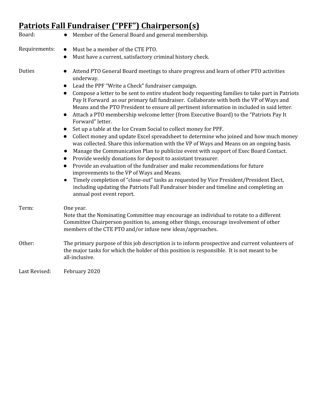#### **Patriots Fall Fundraiser ("PFF") Chairperson(s)**

| Board:        | Member of the General Board and general membership.                                                                                                                                                                                                                                                                                                                                                                                                                                                                                                                                                                                                                                                                                                                                                                                                                                                                                                                                                                                                                                                                                                                                                                                                                                                                                                                                                                                                              |
|---------------|------------------------------------------------------------------------------------------------------------------------------------------------------------------------------------------------------------------------------------------------------------------------------------------------------------------------------------------------------------------------------------------------------------------------------------------------------------------------------------------------------------------------------------------------------------------------------------------------------------------------------------------------------------------------------------------------------------------------------------------------------------------------------------------------------------------------------------------------------------------------------------------------------------------------------------------------------------------------------------------------------------------------------------------------------------------------------------------------------------------------------------------------------------------------------------------------------------------------------------------------------------------------------------------------------------------------------------------------------------------------------------------------------------------------------------------------------------------|
| Requirements: | Must be a member of the CTE PTO.<br>$\bullet$                                                                                                                                                                                                                                                                                                                                                                                                                                                                                                                                                                                                                                                                                                                                                                                                                                                                                                                                                                                                                                                                                                                                                                                                                                                                                                                                                                                                                    |
|               | Must have a current, satisfactory criminal history check.<br>$\bullet$                                                                                                                                                                                                                                                                                                                                                                                                                                                                                                                                                                                                                                                                                                                                                                                                                                                                                                                                                                                                                                                                                                                                                                                                                                                                                                                                                                                           |
| Duties        | Attend PTO General Board meetings to share progress and learn of other PTO activities<br>$\bullet$<br>underway.<br>Lead the PPF "Write a Check" fundraiser campaign.<br>$\bullet$<br>Compose a letter to be sent to entire student body requesting families to take part in Patriots<br>$\bullet$<br>Pay It Forward as our primary fall fundraiser. Collaborate with both the VP of Ways and<br>Means and the PTO President to ensure all pertinent information in included in said letter.<br>Attach a PTO membership welcome letter (from Executive Board) to the "Patriots Pay It<br>$\bullet$<br>Forward" letter.<br>Set up a table at the Ice Cream Social to collect money for PPF.<br>$\bullet$<br>Collect money and update Excel spreadsheet to determine who joined and how much money<br>$\bullet$<br>was collected. Share this information with the VP of Ways and Means on an ongoing basis.<br>Manage the Communication Plan to publicize event with support of Exec Board Contact.<br>$\bullet$<br>Provide weekly donations for deposit to assistant treasurer.<br>$\bullet$<br>Provide an evaluation of the fundraiser and make recommendations for future<br>$\bullet$<br>improvements to the VP of Ways and Means.<br>Timely completion of "close-out" tasks as requested by Vice President/President Elect,<br>$\bullet$<br>including updating the Patriots Fall Fundraiser binder and timeline and completing an<br>annual post event report. |
| Term:         | One year.<br>Note that the Nominating Committee may encourage an individual to rotate to a different<br>Committee Chairperson position to, among other things, encourage involvement of other<br>members of the CTE PTO and/or infuse new ideas/approaches.                                                                                                                                                                                                                                                                                                                                                                                                                                                                                                                                                                                                                                                                                                                                                                                                                                                                                                                                                                                                                                                                                                                                                                                                      |
| Other:        | The primary purpose of this job description is to inform prospective and current volunteers of<br>the major tasks for which the holder of this position is responsible. It is not meant to be<br>all-inclusive.                                                                                                                                                                                                                                                                                                                                                                                                                                                                                                                                                                                                                                                                                                                                                                                                                                                                                                                                                                                                                                                                                                                                                                                                                                                  |
| Last Revised: | February 2020                                                                                                                                                                                                                                                                                                                                                                                                                                                                                                                                                                                                                                                                                                                                                                                                                                                                                                                                                                                                                                                                                                                                                                                                                                                                                                                                                                                                                                                    |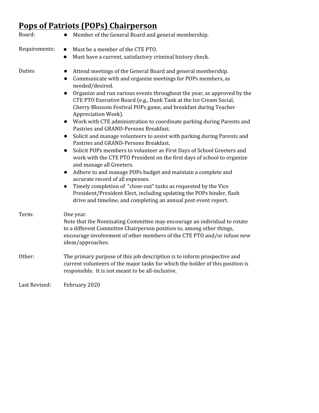# **Pops of Patriots (POPs) Chairperson**

| Board:        | • Member of the General Board and general membership.                                                                                                                                                                                                                                                                                                                                                                                                                                                                                                                                                                                                                                                                                                                                                                                                                                                                                                                                                                                                                                                                                                                                                                        |
|---------------|------------------------------------------------------------------------------------------------------------------------------------------------------------------------------------------------------------------------------------------------------------------------------------------------------------------------------------------------------------------------------------------------------------------------------------------------------------------------------------------------------------------------------------------------------------------------------------------------------------------------------------------------------------------------------------------------------------------------------------------------------------------------------------------------------------------------------------------------------------------------------------------------------------------------------------------------------------------------------------------------------------------------------------------------------------------------------------------------------------------------------------------------------------------------------------------------------------------------------|
| Requirements: | Must be a member of the CTE PTO.<br>$\bullet$<br>Must have a current, satisfactory criminal history check.                                                                                                                                                                                                                                                                                                                                                                                                                                                                                                                                                                                                                                                                                                                                                                                                                                                                                                                                                                                                                                                                                                                   |
| Duties        | Attend meetings of the General Board and general membership.<br>Communicate with and organize meetings for POPs members, as<br>$\bullet$<br>needed/desired.<br>Organize and run various events throughout the year, as approved by the<br>$\bullet$<br>CTE PTO Executive Board (e.g., Dunk Tank at the Ice Cream Social,<br>Cherry Blossom Festival POPs game, and breakfast during Teacher<br>Appreciation Week).<br>Work with CTE administration to coordinate parking during Parents and<br>$\bullet$<br>Pastries and GRAND-Persons Breakfast.<br>Solicit and manage volunteers to assist with parking during Parents and<br>$\bullet$<br>Pastries and GRAND-Persons Breakfast.<br>Solicit POPs members to volunteer as First Days of School Greeters and<br>$\bullet$<br>work with the CTE PTO President on the first days of school to organize<br>and manage all Greeters.<br>Adhere to and manage POPs budget and maintain a complete and<br>$\bullet$<br>accurate record of all expenses.<br>Timely completion of "close-out" tasks as requested by the Vice<br>$\bullet$<br>President/President Elect, including updating the POPs binder, flash<br>drive and timeline, and completing an annual post event report. |
| Term:         | One year.<br>Note that the Nominating Committee may encourage an individual to rotate<br>to a different Committee Chairperson position to, among other things,<br>encourage involvement of other members of the CTE PTO and/or infuse new<br>ideas/approaches.                                                                                                                                                                                                                                                                                                                                                                                                                                                                                                                                                                                                                                                                                                                                                                                                                                                                                                                                                               |
| Other:        | The primary purpose of this job description is to inform prospective and<br>current volunteers of the major tasks for which the holder of this position is<br>responsible. It is not meant to be all-inclusive.                                                                                                                                                                                                                                                                                                                                                                                                                                                                                                                                                                                                                                                                                                                                                                                                                                                                                                                                                                                                              |
| Last Revised: | February 2020                                                                                                                                                                                                                                                                                                                                                                                                                                                                                                                                                                                                                                                                                                                                                                                                                                                                                                                                                                                                                                                                                                                                                                                                                |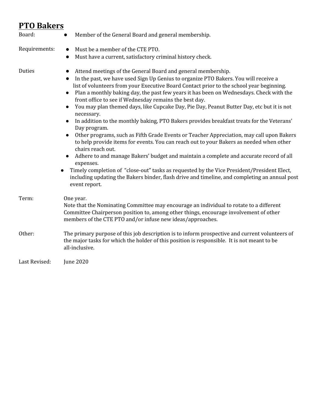#### **PTO Bakers**

| Board:        | Member of the General Board and general membership.<br>$\bullet$                                                                                                                                                                                                                                                                                                                                                                                                                                                                                                                                                                                                                                                                                                                                                                                                                                                                                                                                                                                                                                                                                                                                                    |
|---------------|---------------------------------------------------------------------------------------------------------------------------------------------------------------------------------------------------------------------------------------------------------------------------------------------------------------------------------------------------------------------------------------------------------------------------------------------------------------------------------------------------------------------------------------------------------------------------------------------------------------------------------------------------------------------------------------------------------------------------------------------------------------------------------------------------------------------------------------------------------------------------------------------------------------------------------------------------------------------------------------------------------------------------------------------------------------------------------------------------------------------------------------------------------------------------------------------------------------------|
| Requirements: | Must be a member of the CTE PTO.<br>$\bullet$<br>Must have a current, satisfactory criminal history check.<br>$\bullet$                                                                                                                                                                                                                                                                                                                                                                                                                                                                                                                                                                                                                                                                                                                                                                                                                                                                                                                                                                                                                                                                                             |
| Duties        | Attend meetings of the General Board and general membership.<br>In the past, we have used Sign Up Genius to organize PTO Bakers. You will receive a<br>list of volunteers from your Executive Board Contact prior to the school year beginning.<br>Plan a monthly baking day, the past few years it has been on Wednesdays. Check with the<br>$\bullet$<br>front office to see if Wednesday remains the best day.<br>You may plan themed days, like Cupcake Day, Pie Day, Peanut Butter Day, etc but it is not<br>$\bullet$<br>necessary.<br>In addition to the monthly baking, PTO Bakers provides breakfast treats for the Veterans'<br>Day program.<br>Other programs, such as Fifth Grade Events or Teacher Appreciation, may call upon Bakers<br>to help provide items for events. You can reach out to your Bakers as needed when other<br>chairs reach out.<br>Adhere to and manage Bakers' budget and maintain a complete and accurate record of all<br>$\bullet$<br>expenses.<br>Timely completion of "close-out" tasks as requested by the Vice President/President Elect,<br>$\bullet$<br>including updating the Bakers binder, flash drive and timeline, and completing an annual post<br>event report. |
| Term:         | One year.<br>Note that the Nominating Committee may encourage an individual to rotate to a different<br>Committee Chairperson position to, among other things, encourage involvement of other<br>members of the CTE PTO and/or infuse new ideas/approaches.                                                                                                                                                                                                                                                                                                                                                                                                                                                                                                                                                                                                                                                                                                                                                                                                                                                                                                                                                         |
| Other:        | The primary purpose of this job description is to inform prospective and current volunteers of<br>the major tasks for which the holder of this position is responsible. It is not meant to be<br>all-inclusive.                                                                                                                                                                                                                                                                                                                                                                                                                                                                                                                                                                                                                                                                                                                                                                                                                                                                                                                                                                                                     |
| Last Revised: | <b>June 2020</b>                                                                                                                                                                                                                                                                                                                                                                                                                                                                                                                                                                                                                                                                                                                                                                                                                                                                                                                                                                                                                                                                                                                                                                                                    |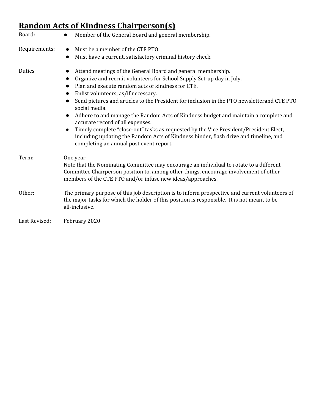## **Random Acts of Kindness Chairperson(s)**

| Board:        | Member of the General Board and general membership.<br>$\bullet$                                                                                                                                                                                                                                                                                                                                                                                                                                                                                                                                                                                                                                                                                            |
|---------------|-------------------------------------------------------------------------------------------------------------------------------------------------------------------------------------------------------------------------------------------------------------------------------------------------------------------------------------------------------------------------------------------------------------------------------------------------------------------------------------------------------------------------------------------------------------------------------------------------------------------------------------------------------------------------------------------------------------------------------------------------------------|
| Requirements: | Must be a member of the CTE PTO.<br>Must have a current, satisfactory criminal history check.<br>$\bullet$                                                                                                                                                                                                                                                                                                                                                                                                                                                                                                                                                                                                                                                  |
| Duties        | Attend meetings of the General Board and general membership.<br>$\bullet$<br>Organize and recruit volunteers for School Supply Set-up day in July.<br>$\bullet$<br>Plan and execute random acts of kindness for CTE.<br>$\bullet$<br>Enlist volunteers, as/if necessary.<br>Send pictures and articles to the President for inclusion in the PTO newsletterand CTE PTO<br>social media.<br>Adhere to and manage the Random Acts of Kindness budget and maintain a complete and<br>$\bullet$<br>accurate record of all expenses.<br>Timely complete "close-out" tasks as requested by the Vice President/President Elect,<br>including updating the Random Acts of Kindness binder, flash drive and timeline, and<br>completing an annual post event report. |
| Term:         | One year.<br>Note that the Nominating Committee may encourage an individual to rotate to a different<br>Committee Chairperson position to, among other things, encourage involvement of other<br>members of the CTE PTO and/or infuse new ideas/approaches.                                                                                                                                                                                                                                                                                                                                                                                                                                                                                                 |
| Other:        | The primary purpose of this job description is to inform prospective and current volunteers of<br>the major tasks for which the holder of this position is responsible. It is not meant to be<br>all-inclusive.                                                                                                                                                                                                                                                                                                                                                                                                                                                                                                                                             |
| Last Revised: | February 2020                                                                                                                                                                                                                                                                                                                                                                                                                                                                                                                                                                                                                                                                                                                                               |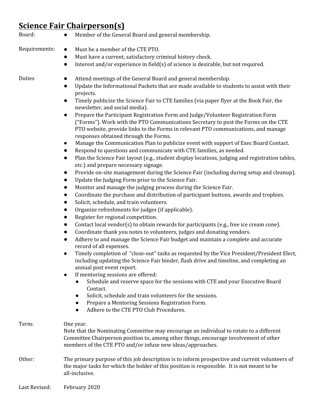## **Science Fair Chairperson(s)**

| Board:        | Member of the General Board and general membership.<br>$\bullet$                                                                                                                                                                                                                                                                                                                                                                                                                                                                                                                                                                                                                                                                                                                                                                                                                                                                                                                                                                                                                                                                                                                                                                                                                                                                                                                                                                                                                                                                                                                                                                                                                                                                                                                                                                                                                                                                                                                                                                                                                                                                                                                                                                                                                                                                                                                     |
|---------------|--------------------------------------------------------------------------------------------------------------------------------------------------------------------------------------------------------------------------------------------------------------------------------------------------------------------------------------------------------------------------------------------------------------------------------------------------------------------------------------------------------------------------------------------------------------------------------------------------------------------------------------------------------------------------------------------------------------------------------------------------------------------------------------------------------------------------------------------------------------------------------------------------------------------------------------------------------------------------------------------------------------------------------------------------------------------------------------------------------------------------------------------------------------------------------------------------------------------------------------------------------------------------------------------------------------------------------------------------------------------------------------------------------------------------------------------------------------------------------------------------------------------------------------------------------------------------------------------------------------------------------------------------------------------------------------------------------------------------------------------------------------------------------------------------------------------------------------------------------------------------------------------------------------------------------------------------------------------------------------------------------------------------------------------------------------------------------------------------------------------------------------------------------------------------------------------------------------------------------------------------------------------------------------------------------------------------------------------------------------------------------------|
| Requirements: | Must be a member of the CTE PTO.<br>$\bullet$<br>Must have a current, satisfactory criminal history check.<br>$\bullet$<br>Interest and/or experience in field(s) of science is desirable, but not required.<br>$\bullet$                                                                                                                                                                                                                                                                                                                                                                                                                                                                                                                                                                                                                                                                                                                                                                                                                                                                                                                                                                                                                                                                                                                                                                                                                                                                                                                                                                                                                                                                                                                                                                                                                                                                                                                                                                                                                                                                                                                                                                                                                                                                                                                                                            |
| Duties        | Attend meetings of the General Board and general membership.<br>Update the Informational Packets that are made available to students to assist with their<br>$\bullet$<br>projects.<br>Timely publicize the Science Fair to CTE families (via paper flyer at the Book Fair, the<br>$\bullet$<br>newsletter, and social media).<br>Prepare the Participant Registration Form and Judge/Volunteer Registration Form<br>$\bullet$<br>("Forms"). Work with the PTO Communications Secretary to post the Forms on the CTE<br>PTO website, provide links to the Forms in relevant PTO communications, and manage<br>responses obtained through the Forms.<br>Manage the Communication Plan to publicize event with support of Exec Board Contact.<br>$\bullet$<br>Respond to questions and communicate with CTE families, as needed.<br>$\bullet$<br>Plan the Science Fair layout (e.g., student display locations, judging and registration tables,<br>$\bullet$<br>etc.) and prepare necessary signage.<br>Provide on-site management during the Science Fair (including during setup and cleanup).<br>$\bullet$<br>Update the Judging Form prior to the Science Fair.<br>$\bullet$<br>Monitor and manage the judging process during the Science Fair.<br>Coordinate the purchase and distribution of participant buttons, awards and trophies.<br>$\bullet$<br>Solicit, schedule, and train volunteers.<br>$\bullet$<br>Organize refreshments for judges (if applicable).<br>Register for regional competition.<br>Contact local vendor(s) to obtain rewards for participants (e.g., free ice cream cone).<br>$\bullet$<br>Coordinate thank you notes to volunteers, judges and donating vendors.<br>$\bullet$<br>Adhere to and manage the Science Fair budget and maintain a complete and accurate<br>$\bullet$<br>record of all expenses.<br>Timely completion of "close-out" tasks as requested by the Vice President/President Elect,<br>$\bullet$<br>including updating the Science Fair binder, flash drive and timeline, and completing an<br>annual post event report.<br>If mentoring sessions are offered:<br>$\bullet$<br>Schedule and reserve space for the sessions with CTE and your Executive Board<br>Contact.<br>Solicit, schedule and train volunteers for the sessions.<br>Prepare a Mentoring Sessions Registration Form.<br>Adhere to the CTE PTO Club Procedures. |
| Term:         | One year.<br>Note that the Nominating Committee may encourage an individual to rotate to a different<br>Committee Chairperson position to, among other things, encourage involvement of other<br>members of the CTE PTO and/or infuse new ideas/approaches.                                                                                                                                                                                                                                                                                                                                                                                                                                                                                                                                                                                                                                                                                                                                                                                                                                                                                                                                                                                                                                                                                                                                                                                                                                                                                                                                                                                                                                                                                                                                                                                                                                                                                                                                                                                                                                                                                                                                                                                                                                                                                                                          |
| Other:        | The primary purpose of this job description is to inform prospective and current volunteers of<br>the major tasks for which the holder of this position is responsible. It is not meant to be<br>all-inclusive.                                                                                                                                                                                                                                                                                                                                                                                                                                                                                                                                                                                                                                                                                                                                                                                                                                                                                                                                                                                                                                                                                                                                                                                                                                                                                                                                                                                                                                                                                                                                                                                                                                                                                                                                                                                                                                                                                                                                                                                                                                                                                                                                                                      |
| Last Revised: | February 2020                                                                                                                                                                                                                                                                                                                                                                                                                                                                                                                                                                                                                                                                                                                                                                                                                                                                                                                                                                                                                                                                                                                                                                                                                                                                                                                                                                                                                                                                                                                                                                                                                                                                                                                                                                                                                                                                                                                                                                                                                                                                                                                                                                                                                                                                                                                                                                        |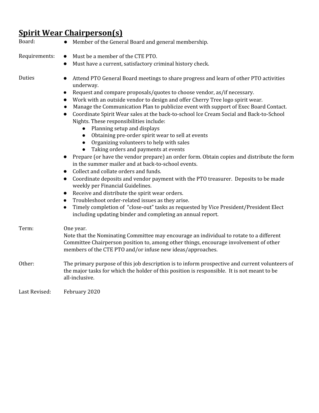## **Spirit Wear Chairperson(s)**

| Board:        | Member of the General Board and general membership.                                                                                                                                                                                                                                                                                                                                                                                                                                                                                                                                                                                                                                                                                                                                                                                                                                                                                                                                                                                                                                                                                                                                                                                                                                                                                                                                                                             |
|---------------|---------------------------------------------------------------------------------------------------------------------------------------------------------------------------------------------------------------------------------------------------------------------------------------------------------------------------------------------------------------------------------------------------------------------------------------------------------------------------------------------------------------------------------------------------------------------------------------------------------------------------------------------------------------------------------------------------------------------------------------------------------------------------------------------------------------------------------------------------------------------------------------------------------------------------------------------------------------------------------------------------------------------------------------------------------------------------------------------------------------------------------------------------------------------------------------------------------------------------------------------------------------------------------------------------------------------------------------------------------------------------------------------------------------------------------|
| Requirements: | Must be a member of the CTE PTO.<br>$\bullet$<br>Must have a current, satisfactory criminal history check.<br>$\bullet$                                                                                                                                                                                                                                                                                                                                                                                                                                                                                                                                                                                                                                                                                                                                                                                                                                                                                                                                                                                                                                                                                                                                                                                                                                                                                                         |
| Duties        | Attend PTO General Board meetings to share progress and learn of other PTO activities<br>$\bullet$<br>underway.<br>Request and compare proposals/quotes to choose vendor, as/if necessary.<br>$\bullet$<br>Work with an outside vendor to design and offer Cherry Tree logo spirit wear.<br>Manage the Communication Plan to publicize event with support of Exec Board Contact.<br>Coordinate Spirit Wear sales at the back-to-school Ice Cream Social and Back-to-School<br>$\bullet$<br>Nights. These responsibilities include:<br>Planning setup and displays<br>$\bullet$<br>Obtaining pre-order spirit wear to sell at events<br>$\bullet$<br>Organizing volunteers to help with sales<br>$\bullet$<br>Taking orders and payments at events<br>$\bullet$<br>Prepare (or have the vendor prepare) an order form. Obtain copies and distribute the form<br>$\bullet$<br>in the summer mailer and at back-to-school events.<br>Collect and collate orders and funds.<br>$\bullet$<br>Coordinate deposits and vendor payment with the PTO treasurer. Deposits to be made<br>$\bullet$<br>weekly per Financial Guidelines.<br>Receive and distribute the spirit wear orders.<br>$\bullet$<br>Troubleshoot order-related issues as they arise.<br>$\bullet$<br>Timely completion of "close-out" tasks as requested by Vice President/President Elect<br>$\bullet$<br>including updating binder and completing an annual report. |
| Term:         | One year.<br>Note that the Nominating Committee may encourage an individual to rotate to a different<br>Committee Chairperson position to, among other things, encourage involvement of other<br>members of the CTE PTO and/or infuse new ideas/approaches.                                                                                                                                                                                                                                                                                                                                                                                                                                                                                                                                                                                                                                                                                                                                                                                                                                                                                                                                                                                                                                                                                                                                                                     |
| Other:        | The primary purpose of this job description is to inform prospective and current volunteers of<br>the major tasks for which the holder of this position is responsible. It is not meant to be<br>all-inclusive.                                                                                                                                                                                                                                                                                                                                                                                                                                                                                                                                                                                                                                                                                                                                                                                                                                                                                                                                                                                                                                                                                                                                                                                                                 |
| Last Revised: | February 2020                                                                                                                                                                                                                                                                                                                                                                                                                                                                                                                                                                                                                                                                                                                                                                                                                                                                                                                                                                                                                                                                                                                                                                                                                                                                                                                                                                                                                   |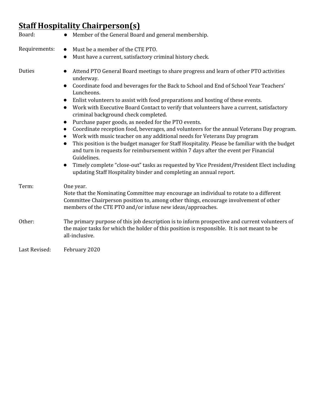# **Staff Hospitality Chairperson(s)**

| Board:        | Member of the General Board and general membership.                                                                                                                                                                                                                                                                                                                                                                                                                                                                                                                                                                                                                                                                                                                                                                                                                                                                                                                                                                                                                                                                                                             |
|---------------|-----------------------------------------------------------------------------------------------------------------------------------------------------------------------------------------------------------------------------------------------------------------------------------------------------------------------------------------------------------------------------------------------------------------------------------------------------------------------------------------------------------------------------------------------------------------------------------------------------------------------------------------------------------------------------------------------------------------------------------------------------------------------------------------------------------------------------------------------------------------------------------------------------------------------------------------------------------------------------------------------------------------------------------------------------------------------------------------------------------------------------------------------------------------|
| Requirements: | Must be a member of the CTE PTO.<br>$\bullet$                                                                                                                                                                                                                                                                                                                                                                                                                                                                                                                                                                                                                                                                                                                                                                                                                                                                                                                                                                                                                                                                                                                   |
|               | Must have a current, satisfactory criminal history check.<br>$\bullet$                                                                                                                                                                                                                                                                                                                                                                                                                                                                                                                                                                                                                                                                                                                                                                                                                                                                                                                                                                                                                                                                                          |
| Duties        | Attend PTO General Board meetings to share progress and learn of other PTO activities<br>$\bullet$<br>underway.<br>Coordinate food and beverages for the Back to School and End of School Year Teachers'<br>$\bullet$<br>Luncheons.<br>Enlist volunteers to assist with food preparations and hosting of these events.<br>$\bullet$<br>Work with Executive Board Contact to verify that volunteers have a current, satisfactory<br>$\bullet$<br>criminal background check completed.<br>Purchase paper goods, as needed for the PTO events.<br>$\bullet$<br>Coordinate reception food, beverages, and volunteers for the annual Veterans Day program.<br>$\bullet$<br>Work with music teacher on any additional needs for Veterans Day program<br>$\bullet$<br>This position is the budget manager for Staff Hospitality. Please be familiar with the budget<br>$\bullet$<br>and turn in requests for reimbursement within 7 days after the event per Financial<br>Guidelines.<br>Timely complete "close-out" tasks as requested by Vice President/President Elect including<br>$\bullet$<br>updating Staff Hospitality binder and completing an annual report. |
| Term:         | One year.<br>Note that the Nominating Committee may encourage an individual to rotate to a different<br>Committee Chairperson position to, among other things, encourage involvement of other<br>members of the CTE PTO and/or infuse new ideas/approaches.                                                                                                                                                                                                                                                                                                                                                                                                                                                                                                                                                                                                                                                                                                                                                                                                                                                                                                     |
| Other:        | The primary purpose of this job description is to inform prospective and current volunteers of<br>the major tasks for which the holder of this position is responsible. It is not meant to be<br>all-inclusive.                                                                                                                                                                                                                                                                                                                                                                                                                                                                                                                                                                                                                                                                                                                                                                                                                                                                                                                                                 |
| Last Revised: | February 2020                                                                                                                                                                                                                                                                                                                                                                                                                                                                                                                                                                                                                                                                                                                                                                                                                                                                                                                                                                                                                                                                                                                                                   |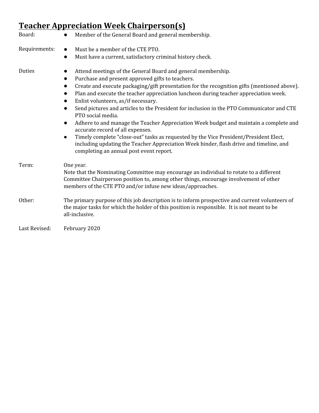# **Teacher Appreciation Week Chairperson(s)**

| Board:        | Member of the General Board and general membership.<br>$\bullet$                                                                                                                                                                                                                                                                                                                                                                                                                                                 |
|---------------|------------------------------------------------------------------------------------------------------------------------------------------------------------------------------------------------------------------------------------------------------------------------------------------------------------------------------------------------------------------------------------------------------------------------------------------------------------------------------------------------------------------|
| Requirements: | Must be a member of the CTE PTO.                                                                                                                                                                                                                                                                                                                                                                                                                                                                                 |
|               | Must have a current, satisfactory criminal history check.<br>$\bullet$                                                                                                                                                                                                                                                                                                                                                                                                                                           |
| Duties        | Attend meetings of the General Board and general membership.<br>Purchase and present approved gifts to teachers.<br>$\bullet$<br>Create and execute packaging/gift presentation for the recognition gifts (mentioned above).<br>Plan and execute the teacher appreciation luncheon during teacher appreciation week.<br>$\bullet$<br>Enlist volunteers, as/if necessary.                                                                                                                                         |
|               | Send pictures and articles to the President for inclusion in the PTO Communicator and CTE<br>$\bullet$<br>PTO social media.<br>Adhere to and manage the Teacher Appreciation Week budget and maintain a complete and<br>$\bullet$<br>accurate record of all expenses.<br>Timely complete "close-out" tasks as requested by the Vice President/President Elect,<br>$\bullet$<br>including updating the Teacher Appreciation Week binder, flash drive and timeline, and<br>completing an annual post event report. |
| Term:         | One year.<br>Note that the Nominating Committee may encourage an individual to rotate to a different<br>Committee Chairperson position to, among other things, encourage involvement of other<br>members of the CTE PTO and/or infuse new ideas/approaches.                                                                                                                                                                                                                                                      |
| Other:        | The primary purpose of this job description is to inform prospective and current volunteers of<br>the major tasks for which the holder of this position is responsible. It is not meant to be<br>all-inclusive.                                                                                                                                                                                                                                                                                                  |
| Last Revised: | February 2020                                                                                                                                                                                                                                                                                                                                                                                                                                                                                                    |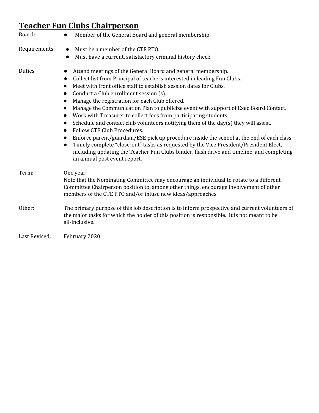# **Teacher Fun Clubs Chairperson**

| Board:        | Member of the General Board and general membership.                                                                                                                                                                                                                                                                                                                                                                                                                                                                                                                                                                                                                                                                                                                                                                                                                                                                                                   |
|---------------|-------------------------------------------------------------------------------------------------------------------------------------------------------------------------------------------------------------------------------------------------------------------------------------------------------------------------------------------------------------------------------------------------------------------------------------------------------------------------------------------------------------------------------------------------------------------------------------------------------------------------------------------------------------------------------------------------------------------------------------------------------------------------------------------------------------------------------------------------------------------------------------------------------------------------------------------------------|
| Requirements: | Must be a member of the CTE PTO.<br>$\bullet$<br>Must have a current, satisfactory criminal history check.<br>$\bullet$                                                                                                                                                                                                                                                                                                                                                                                                                                                                                                                                                                                                                                                                                                                                                                                                                               |
| Duties        | Attend meetings of the General Board and general membership.<br>Collect list from Principal of teachers interested in leading Fun Clubs.<br>Meet with front office staff to establish session dates for Clubs.<br>Conduct a Club enrollment session (s).<br>$\bullet$<br>Manage the registration for each Club offered.<br>Manage the Communication Plan to publicize event with support of Exec Board Contact.<br>Work with Treasurer to collect fees from participating students.<br>Schedule and contact club volunteers notifying them of the day(s) they will assist.<br>$\bullet$<br>Follow CTE Club Procedures.<br>$\bullet$<br>Enforce parent/guardian/ESE pick up procedure inside the school at the end of each class<br>Timely complete "close-out" tasks as requested by the Vice President/President Elect,<br>including updating the Teacher Fun Clubs binder, flash drive and timeline, and completing<br>an annual post event report. |
| Term:         | One year.<br>Note that the Nominating Committee may encourage an individual to rotate to a different<br>Committee Chairperson position to, among other things, encourage involvement of other<br>members of the CTE PTO and/or infuse new ideas/approaches.                                                                                                                                                                                                                                                                                                                                                                                                                                                                                                                                                                                                                                                                                           |
| Other:        | The primary purpose of this job description is to inform prospective and current volunteers of<br>the major tasks for which the holder of this position is responsible. It is not meant to be<br>all-inclusive.                                                                                                                                                                                                                                                                                                                                                                                                                                                                                                                                                                                                                                                                                                                                       |
| Last Revised: | February 2020                                                                                                                                                                                                                                                                                                                                                                                                                                                                                                                                                                                                                                                                                                                                                                                                                                                                                                                                         |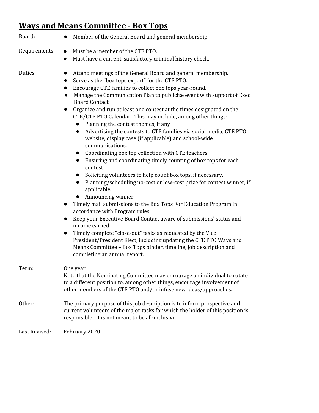## **Ways and Means Committee - Box Tops**

| Board:        | Member of the General Board and general membership.                                                                                                                                                                                                                                                                                                                                                                                                                                                                                                                                                                                                                                                                                                                                                                                                                                                                                                                                                                                                                                                                                                                                                                                                                                                                                                                                                                                          |
|---------------|----------------------------------------------------------------------------------------------------------------------------------------------------------------------------------------------------------------------------------------------------------------------------------------------------------------------------------------------------------------------------------------------------------------------------------------------------------------------------------------------------------------------------------------------------------------------------------------------------------------------------------------------------------------------------------------------------------------------------------------------------------------------------------------------------------------------------------------------------------------------------------------------------------------------------------------------------------------------------------------------------------------------------------------------------------------------------------------------------------------------------------------------------------------------------------------------------------------------------------------------------------------------------------------------------------------------------------------------------------------------------------------------------------------------------------------------|
| Requirements: | Must be a member of the CTE PTO.<br>Must have a current, satisfactory criminal history check.<br>$\bullet$                                                                                                                                                                                                                                                                                                                                                                                                                                                                                                                                                                                                                                                                                                                                                                                                                                                                                                                                                                                                                                                                                                                                                                                                                                                                                                                                   |
| Duties        | Attend meetings of the General Board and general membership.<br>Serve as the "box tops expert" for the CTE PTO.<br>Encourage CTE families to collect box tops year-round.<br>$\bullet$<br>Manage the Communication Plan to publicize event with support of Exec<br>$\bullet$<br>Board Contact.<br>Organize and run at least one contest at the times designated on the<br>CTE/CTE PTO Calendar. This may include, among other things:<br>• Planning the contest themes, if any<br>Advertising the contests to CTE families via social media, CTE PTO<br>$\bullet$<br>website, display case (if applicable) and school-wide<br>communications.<br>• Coordinating box top collection with CTE teachers.<br>Ensuring and coordinating timely counting of box tops for each<br>$\bullet$<br>contest.<br>Soliciting volunteers to help count box tops, if necessary.<br>Planning/scheduling no-cost or low-cost prize for contest winner, if<br>$\bullet$<br>applicable.<br>Announcing winner.<br>Timely mail submissions to the Box Tops For Education Program in<br>accordance with Program rules.<br>Keep your Executive Board Contact aware of submissions' status and<br>$\bullet$<br>income earned.<br>Timely complete "close-out" tasks as requested by the Vice<br>President/President Elect, including updating the CTE PTO Ways and<br>Means Committee - Box Tops binder, timeline, job description and<br>completing an annual report. |
| Term:         | One year.<br>Note that the Nominating Committee may encourage an individual to rotate<br>to a different position to, among other things, encourage involvement of<br>other members of the CTE PTO and/or infuse new ideas/approaches.                                                                                                                                                                                                                                                                                                                                                                                                                                                                                                                                                                                                                                                                                                                                                                                                                                                                                                                                                                                                                                                                                                                                                                                                        |
| Other:        | The primary purpose of this job description is to inform prospective and<br>current volunteers of the major tasks for which the holder of this position is<br>responsible. It is not meant to be all-inclusive.                                                                                                                                                                                                                                                                                                                                                                                                                                                                                                                                                                                                                                                                                                                                                                                                                                                                                                                                                                                                                                                                                                                                                                                                                              |
| Last Revised: | February 2020                                                                                                                                                                                                                                                                                                                                                                                                                                                                                                                                                                                                                                                                                                                                                                                                                                                                                                                                                                                                                                                                                                                                                                                                                                                                                                                                                                                                                                |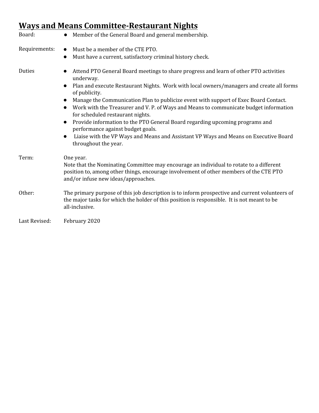## **Ways and Means Committee-Restaurant Nights**

| Board:        | Member of the General Board and general membership.                                                                                                                                                                                                                                                                                                                                                                                                                                                                                                                                                                                                                                                                                                     |
|---------------|---------------------------------------------------------------------------------------------------------------------------------------------------------------------------------------------------------------------------------------------------------------------------------------------------------------------------------------------------------------------------------------------------------------------------------------------------------------------------------------------------------------------------------------------------------------------------------------------------------------------------------------------------------------------------------------------------------------------------------------------------------|
| Requirements: | Must be a member of the CTE PTO.<br>$\bullet$<br>Must have a current, satisfactory criminal history check.<br>$\bullet$                                                                                                                                                                                                                                                                                                                                                                                                                                                                                                                                                                                                                                 |
| Duties        | Attend PTO General Board meetings to share progress and learn of other PTO activities<br>$\bullet$<br>underway.<br>Plan and execute Restaurant Nights. Work with local owners/managers and create all forms<br>$\bullet$<br>of publicity.<br>Manage the Communication Plan to publicize event with support of Exec Board Contact.<br>$\bullet$<br>Work with the Treasurer and V. P. of Ways and Means to communicate budget information<br>$\bullet$<br>for scheduled restaurant nights.<br>Provide information to the PTO General Board regarding upcoming programs and<br>$\bullet$<br>performance against budget goals.<br>Liaise with the VP Ways and Means and Assistant VP Ways and Means on Executive Board<br>$\bullet$<br>throughout the year. |
| Term:         | One year.<br>Note that the Nominating Committee may encourage an individual to rotate to a different<br>position to, among other things, encourage involvement of other members of the CTE PTO<br>and/or infuse new ideas/approaches.                                                                                                                                                                                                                                                                                                                                                                                                                                                                                                                   |
| Other:        | The primary purpose of this job description is to inform prospective and current volunteers of<br>the major tasks for which the holder of this position is responsible. It is not meant to be<br>all-inclusive.                                                                                                                                                                                                                                                                                                                                                                                                                                                                                                                                         |
| Last Revised: | February 2020                                                                                                                                                                                                                                                                                                                                                                                                                                                                                                                                                                                                                                                                                                                                           |